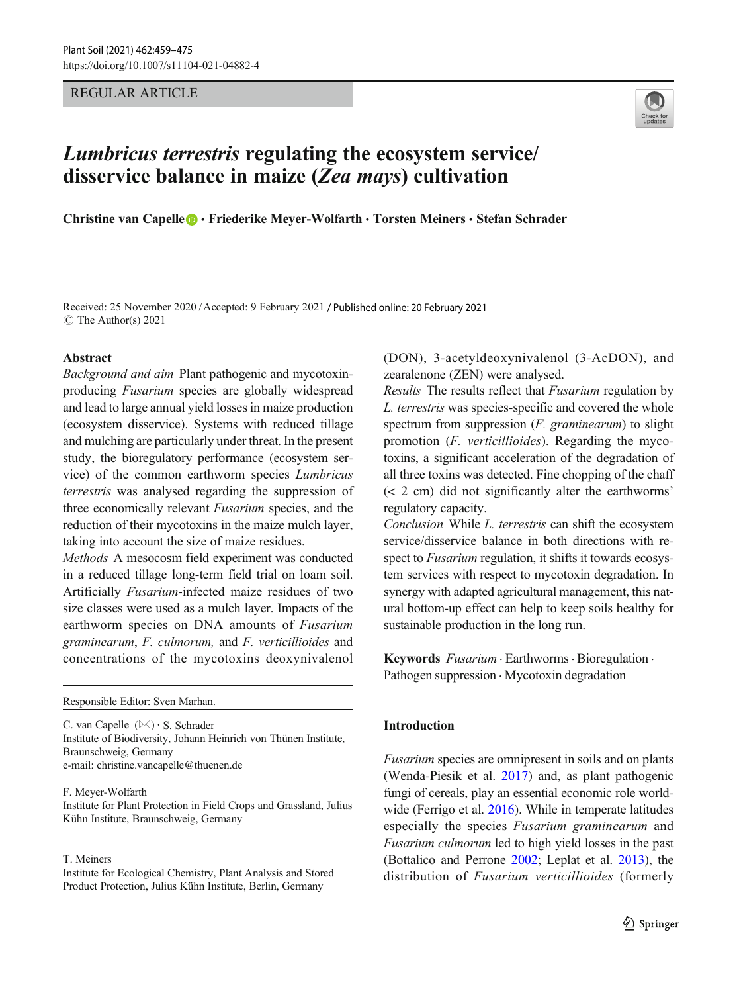REGULAR ARTICLE



# Lumbricus terrestris regulating the ecosystem service/ disservice balance in maize (Zea mays) cultivation

Christine van Capelle **D** · Friederike Meyer-Wolfarth · Torsten Meiners · Stefan Schrader

Received: 25 November 2020 /Accepted: 9 February 2021 / Published online: 20 February 2021  $\circ$  The Author(s) 2021

## Abstract

Background and aim Plant pathogenic and mycotoxinproducing Fusarium species are globally widespread and lead to large annual yield losses in maize production (ecosystem disservice). Systems with reduced tillage and mulching are particularly under threat. In the present study, the bioregulatory performance (ecosystem service) of the common earthworm species Lumbricus terrestris was analysed regarding the suppression of three economically relevant Fusarium species, and the reduction of their mycotoxins in the maize mulch layer, taking into account the size of maize residues.

Methods A mesocosm field experiment was conducted in a reduced tillage long-term field trial on loam soil. Artificially Fusarium-infected maize residues of two size classes were used as a mulch layer. Impacts of the earthworm species on DNA amounts of Fusarium graminearum, F. culmorum, and F. verticillioides and concentrations of the mycotoxins deoxynivalenol

Responsible Editor: Sven Marhan.

C. van Capelle  $(\boxtimes) \cdot$  S. Schrader Institute of Biodiversity, Johann Heinrich von Thünen Institute, Braunschweig, Germany e-mail: christine.vancapelle@thuenen.de

F. Meyer-Wolfarth Institute for Plant Protection in Field Crops and Grassland, Julius Kühn Institute, Braunschweig, Germany

#### T. Meiners

Institute for Ecological Chemistry, Plant Analysis and Stored Product Protection, Julius Kühn Institute, Berlin, Germany

(DON), 3-acetyldeoxynivalenol (3-AcDON), and zearalenone (ZEN) were analysed.

Results The results reflect that Fusarium regulation by L. terrestris was species-specific and covered the whole spectrum from suppression  $(F.$  graminearum) to slight promotion (F. verticillioides). Regarding the mycotoxins, a significant acceleration of the degradation of all three toxins was detected. Fine chopping of the chaff (< 2 cm) did not significantly alter the earthworms' regulatory capacity.

Conclusion While L. terrestris can shift the ecosystem service/disservice balance in both directions with respect to Fusarium regulation, it shifts it towards ecosystem services with respect to mycotoxin degradation. In synergy with adapted agricultural management, this natural bottom-up effect can help to keep soils healthy for sustainable production in the long run.

Keywords Fusarium . Earthworms . Bioregulation . Pathogen suppression  $\cdot$  Mycotoxin degradation

## Introduction

Fusarium species are omnipresent in soils and on plants (Wenda-Piesik et al. [2017](#page-16-0)) and, as plant pathogenic fungi of cereals, play an essential economic role world-wide (Ferrigo et al. [2016](#page-14-0)). While in temperate latitudes especially the species Fusarium graminearum and Fusarium culmorum led to high yield losses in the past (Bottalico and Perrone [2002](#page-13-0); Leplat et al. [2013\)](#page-15-0), the distribution of Fusarium verticillioides (formerly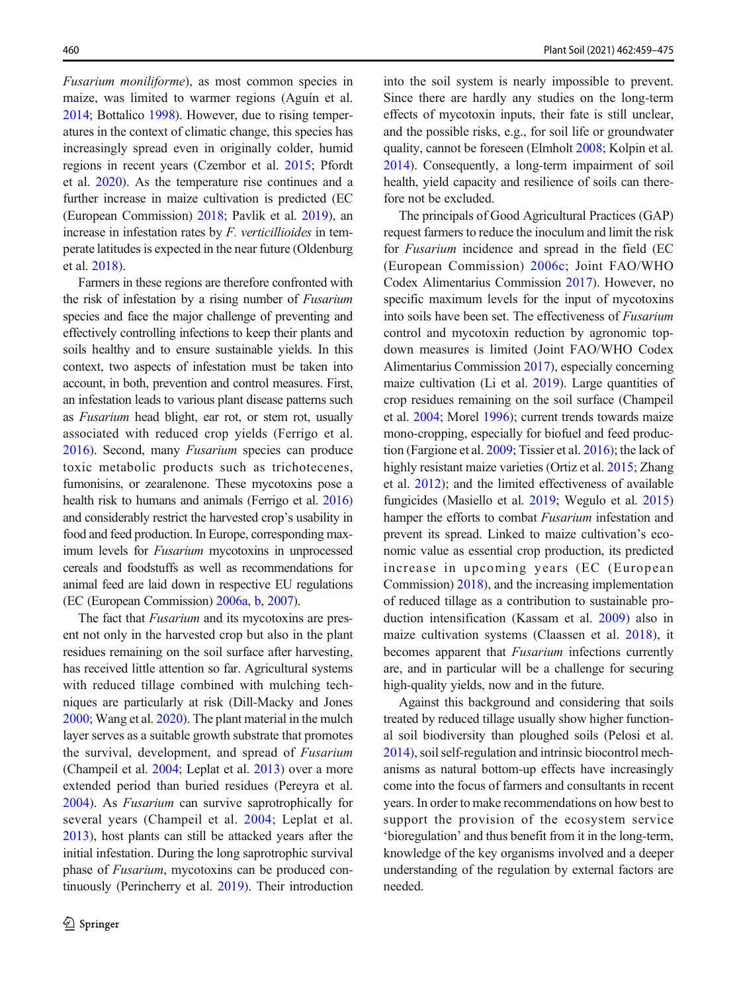Fusarium moniliforme), as most common species in maize, was limited to warmer regions (Aguín et al. [2014](#page-13-0); Bottalico [1998\)](#page-13-0). However, due to rising temperatures in the context of climatic change, this species has increasingly spread even in originally colder, humid regions in recent years (Czembor et al. [2015](#page-14-0); Pfordt et al. [2020\)](#page-15-0). As the temperature rise continues and a further increase in maize cultivation is predicted (EC (European Commission) [2018](#page-14-0); Pavlik et al. [2019\)](#page-15-0), an increase in infestation rates by  $F$ . verticillioides in temperate latitudes is expected in the near future (Oldenburg et al. [2018\)](#page-15-0).

Farmers in these regions are therefore confronted with the risk of infestation by a rising number of Fusarium species and face the major challenge of preventing and effectively controlling infections to keep their plants and soils healthy and to ensure sustainable yields. In this context, two aspects of infestation must be taken into account, in both, prevention and control measures. First, an infestation leads to various plant disease patterns such as Fusarium head blight, ear rot, or stem rot, usually associated with reduced crop yields (Ferrigo et al. [2016\)](#page-14-0). Second, many Fusarium species can produce toxic metabolic products such as trichotecenes, fumonisins, or zearalenone. These mycotoxins pose a health risk to humans and animals (Ferrigo et al. [2016\)](#page-14-0) and considerably restrict the harvested crop's usability in food and feed production. In Europe, corresponding maximum levels for Fusarium mycotoxins in unprocessed cereals and foodstuffs as well as recommendations for animal feed are laid down in respective EU regulations (EC (European Commission) [2006a,](#page-14-0) [b,](#page-14-0) [2007\)](#page-14-0).

The fact that *Fusarium* and its mycotoxins are present not only in the harvested crop but also in the plant residues remaining on the soil surface after harvesting, has received little attention so far. Agricultural systems with reduced tillage combined with mulching techniques are particularly at risk (Dill-Macky and Jones [2000](#page-14-0); Wang et al. [2020\)](#page-16-0). The plant material in the mulch layer serves as a suitable growth substrate that promotes the survival, development, and spread of Fusarium (Champeil et al. [2004;](#page-14-0) Leplat et al. [2013](#page-15-0)) over a more extended period than buried residues (Pereyra et al. [2004](#page-15-0)). As Fusarium can survive saprotrophically for several years (Champeil et al. [2004](#page-14-0); Leplat et al. [2013](#page-15-0)), host plants can still be attacked years after the initial infestation. During the long saprotrophic survival phase of Fusarium, mycotoxins can be produced continuously (Perincherry et al. [2019](#page-15-0)). Their introduction into the soil system is nearly impossible to prevent. Since there are hardly any studies on the long-term effects of mycotoxin inputs, their fate is still unclear, and the possible risks, e.g., for soil life or groundwater quality, cannot be foreseen (Elmholt [2008](#page-14-0); Kolpin et al. [2014](#page-14-0)). Consequently, a long-term impairment of soil health, yield capacity and resilience of soils can therefore not be excluded.

The principals of Good Agricultural Practices (GAP) request farmers to reduce the inoculum and limit the risk for Fusarium incidence and spread in the field (EC (European Commission) [2006c;](#page-14-0) Joint FAO/WHO Codex Alimentarius Commission [2017\)](#page-14-0). However, no specific maximum levels for the input of mycotoxins into soils have been set. The effectiveness of Fusarium control and mycotoxin reduction by agronomic topdown measures is limited (Joint FAO/WHO Codex Alimentarius Commission [2017\)](#page-14-0), especially concerning maize cultivation (Li et al. [2019](#page-15-0)). Large quantities of crop residues remaining on the soil surface (Champeil et al. [2004;](#page-14-0) Morel [1996](#page-15-0)); current trends towards maize mono-cropping, especially for biofuel and feed production (Fargione et al. [2009;](#page-14-0) Tissier et al. [2016\)](#page-16-0); the lack of highly resistant maize varieties (Ortiz et al. [2015;](#page-15-0) Zhang et al. [2012\)](#page-16-0); and the limited effectiveness of available fungicides (Masiello et al. [2019;](#page-15-0) Wegulo et al. [2015](#page-16-0)) hamper the efforts to combat Fusarium infestation and prevent its spread. Linked to maize cultivation's economic value as essential crop production, its predicted increase in upcoming years (EC (European Commission) [2018](#page-14-0)), and the increasing implementation of reduced tillage as a contribution to sustainable production intensification (Kassam et al. [2009\)](#page-14-0) also in maize cultivation systems (Claassen et al. [2018\)](#page-14-0), it becomes apparent that Fusarium infections currently are, and in particular will be a challenge for securing high-quality yields, now and in the future.

Against this background and considering that soils treated by reduced tillage usually show higher functional soil biodiversity than ploughed soils (Pelosi et al. [2014](#page-15-0)), soil self-regulation and intrinsic biocontrol mechanisms as natural bottom-up effects have increasingly come into the focus of farmers and consultants in recent years. In order to make recommendations on how best to support the provision of the ecosystem service 'bioregulation' and thus benefit from it in the long-term, knowledge of the key organisms involved and a deeper understanding of the regulation by external factors are needed.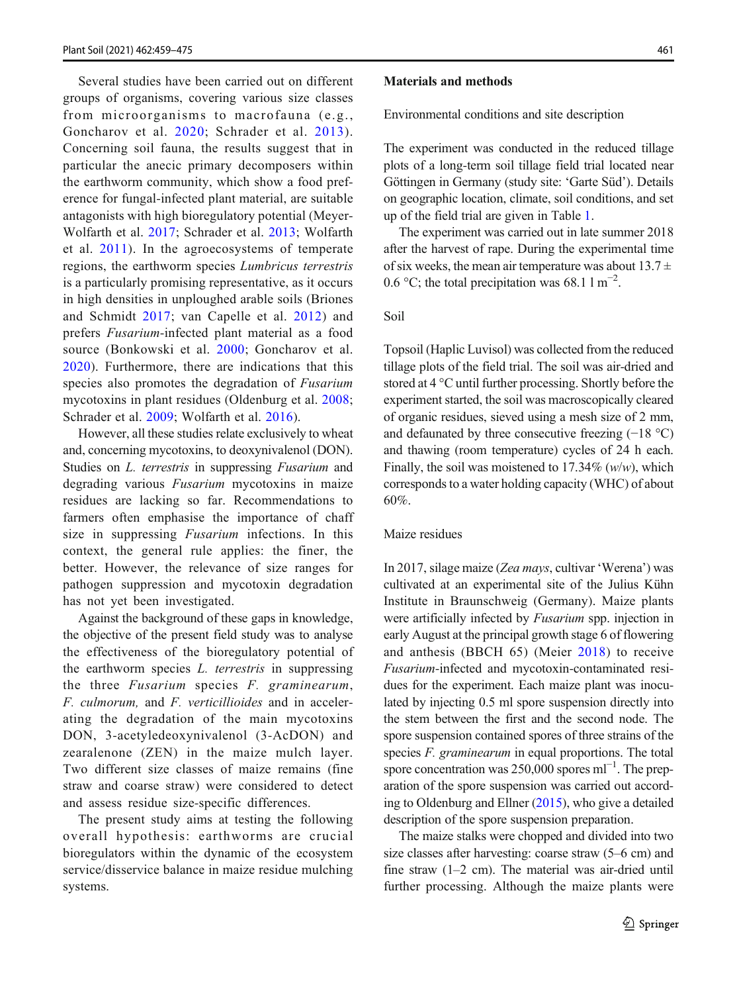Several studies have been carried out on different groups of organisms, covering various size classes from microorganisms to macrofauna (e.g., Goncharov et al. [2020](#page-14-0); Schrader et al. [2013\)](#page-15-0). Concerning soil fauna, the results suggest that in particular the anecic primary decomposers within the earthworm community, which show a food preference for fungal-infected plant material, are suitable antagonists with high bioregulatory potential (Meyer-Wolfarth et al. [2017;](#page-15-0) Schrader et al. [2013;](#page-15-0) Wolfarth et al. [2011](#page-16-0)). In the agroecosystems of temperate regions, the earthworm species Lumbricus terrestris is a particularly promising representative, as it occurs in high densities in unploughed arable soils (Briones and Schmidt [2017;](#page-13-0) van Capelle et al. [2012](#page-16-0)) and prefers Fusarium-infected plant material as a food source (Bonkowski et al. [2000;](#page-13-0) Goncharov et al. [2020](#page-14-0)). Furthermore, there are indications that this species also promotes the degradation of Fusarium mycotoxins in plant residues (Oldenburg et al. [2008](#page-15-0); Schrader et al. [2009](#page-15-0); Wolfarth et al. [2016\)](#page-16-0).

However, all these studies relate exclusively to wheat and, concerning mycotoxins, to deoxynivalenol (DON). Studies on *L. terrestris* in suppressing *Fusarium* and degrading various Fusarium mycotoxins in maize residues are lacking so far. Recommendations to farmers often emphasise the importance of chaff size in suppressing Fusarium infections. In this context, the general rule applies: the finer, the better. However, the relevance of size ranges for pathogen suppression and mycotoxin degradation has not yet been investigated.

Against the background of these gaps in knowledge, the objective of the present field study was to analyse the effectiveness of the bioregulatory potential of the earthworm species L. terrestris in suppressing the three Fusarium species F. graminearum, F. culmorum, and F. verticillioides and in accelerating the degradation of the main mycotoxins DON, 3-acetyledeoxynivalenol (3-AcDON) and zearalenone (ZEN) in the maize mulch layer. Two different size classes of maize remains (fine straw and coarse straw) were considered to detect and assess residue size-specific differences.

The present study aims at testing the following overall hypothesis: earthworms are crucial bioregulators within the dynamic of the ecosystem service/disservice balance in maize residue mulching systems.

## Materials and methods

Environmental conditions and site description

The experiment was conducted in the reduced tillage plots of a long-term soil tillage field trial located near Göttingen in Germany (study site: 'Garte Süd'). Details on geographic location, climate, soil conditions, and set up of the field trial are given in Table [1.](#page-3-0)

The experiment was carried out in late summer 2018 after the harvest of rape. During the experimental time of six weeks, the mean air temperature was about  $13.7 \pm$ 0.6 °C; the total precipitation was 68.1 l m<sup>-2</sup>.

Soil

Topsoil (Haplic Luvisol) was collected from the reduced tillage plots of the field trial. The soil was air-dried and stored at 4 °C until further processing. Shortly before the experiment started, the soil was macroscopically cleared of organic residues, sieved using a mesh size of 2 mm, and defaunated by three consecutive freezing (−18 °C) and thawing (room temperature) cycles of 24 h each. Finally, the soil was moistened to  $17.34\%$  (w/w), which corresponds to a water holding capacity (WHC) of about 60%.

## Maize residues

In 2017, silage maize (Zea mays, cultivar 'Werena') was cultivated at an experimental site of the Julius Kühn Institute in Braunschweig (Germany). Maize plants were artificially infected by Fusarium spp. injection in early August at the principal growth stage 6 of flowering and anthesis (BBCH 65) (Meier [2018](#page-15-0)) to receive Fusarium-infected and mycotoxin-contaminated residues for the experiment. Each maize plant was inoculated by injecting 0.5 ml spore suspension directly into the stem between the first and the second node. The spore suspension contained spores of three strains of the species F. graminearum in equal proportions. The total spore concentration was 250,000 spores ml<sup>-1</sup>. The preparation of the spore suspension was carried out according to Oldenburg and Ellner [\(2015\)](#page-15-0), who give a detailed description of the spore suspension preparation.

The maize stalks were chopped and divided into two size classes after harvesting: coarse straw (5–6 cm) and fine straw (1–2 cm). The material was air-dried until further processing. Although the maize plants were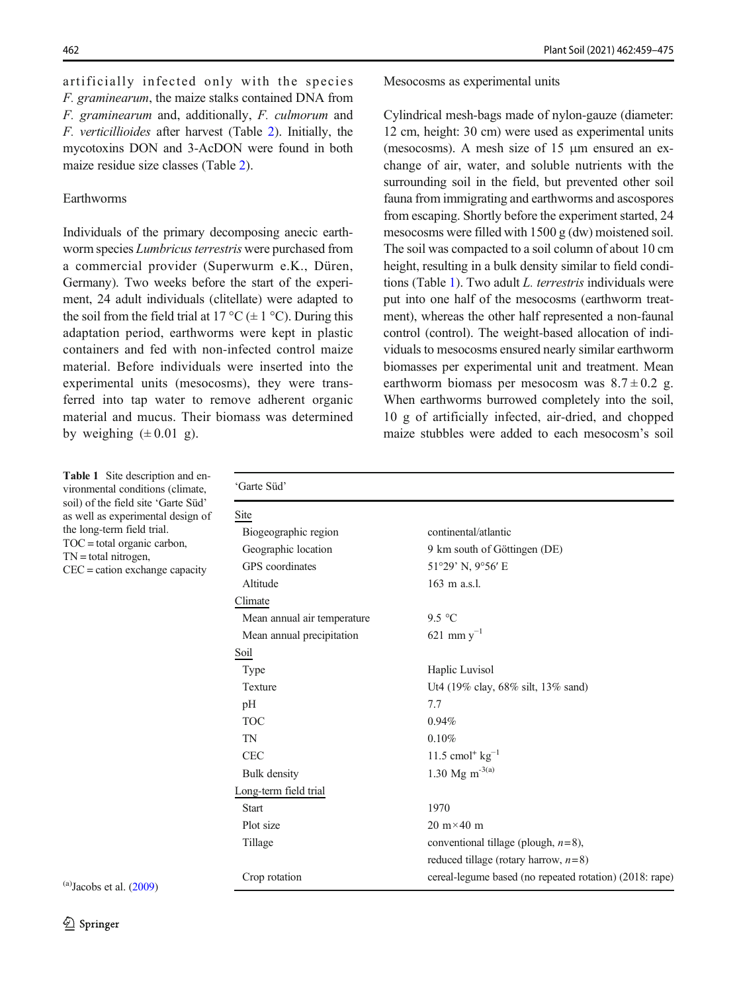<span id="page-3-0"></span>artificially infected only with the species F. graminearum, the maize stalks contained DNA from F. graminearum and, additionally, F. culmorum and F. verticillioides after harvest (Table [2\)](#page-4-0). Initially, the mycotoxins DON and 3-AcDON were found in both maize residue size classes (Table [2\)](#page-4-0).

## Earthworms

Individuals of the primary decomposing anecic earthworm species Lumbricus terrestris were purchased from a commercial provider (Superwurm e.K., Düren, Germany). Two weeks before the start of the experiment, 24 adult individuals (clitellate) were adapted to the soil from the field trial at 17 °C ( $\pm$  1 °C). During this adaptation period, earthworms were kept in plastic containers and fed with non-infected control maize material. Before individuals were inserted into the experimental units (mesocosms), they were transferred into tap water to remove adherent organic material and mucus. Their biomass was determined by weighing  $(\pm 0.01 \text{ g})$ .

#### Mesocosms as experimental units

Cylindrical mesh-bags made of nylon-gauze (diameter: 12 cm, height: 30 cm) were used as experimental units (mesocosms). A mesh size of 15 μm ensured an exchange of air, water, and soluble nutrients with the surrounding soil in the field, but prevented other soil fauna from immigrating and earthworms and ascospores from escaping. Shortly before the experiment started, 24 mesocosms were filled with 1500 g (dw) moistened soil. The soil was compacted to a soil column of about 10 cm height, resulting in a bulk density similar to field conditions (Table 1). Two adult L. terrestris individuals were put into one half of the mesocosms (earthworm treatment), whereas the other half represented a non-faunal control (control). The weight-based allocation of individuals to mesocosms ensured nearly similar earthworm biomasses per experimental unit and treatment. Mean earthworm biomass per mesocosm was  $8.7 \pm 0.2$  g. When earthworms burrowed completely into the soil, 10 g of artificially infected, air-dried, and chopped maize stubbles were added to each mesocosm's soil

Table 1 Site description and environmental conditions (climate, soil) of the field site 'Garte Süd' as well as experimental design of the long-term field trial. TOC = total organic carbon, TN = total nitrogen, CEC = cation exchange capacity

| Site                        |                                                         |
|-----------------------------|---------------------------------------------------------|
| Biogeographic region        | continental/atlantic                                    |
| Geographic location         | 9 km south of Göttingen (DE)                            |
| GPS coordinates             | 51°29' N, 9°56' E                                       |
| Altitude                    | 163 m a.s.l.                                            |
| Climate                     |                                                         |
| Mean annual air temperature | 9.5 °C                                                  |
| Mean annual precipitation   | 621 mm $y^{-1}$                                         |
| Soil                        |                                                         |
| Type                        | Haplic Luvisol                                          |
| Texture                     | Ut4 (19% clay, 68% silt, 13% sand)                      |
| pH                          | 7.7                                                     |
| <b>TOC</b>                  | 0.94%                                                   |
| <b>TN</b>                   | 0.10%                                                   |
| <b>CEC</b>                  | 11.5 cmol <sup>+</sup> $kg^{-1}$                        |
| Bulk density                | 1.30 Mg m <sup>-3(a)</sup>                              |
| Long-term field trial       |                                                         |
| <b>Start</b>                | 1970                                                    |
| Plot size                   | $20 \text{ m} \times 40 \text{ m}$                      |
| Tillage                     | conventional tillage (plough, $n=8$ ),                  |
|                             | reduced tillage (rotary harrow, $n=8$ )                 |
| Crop rotation               | cereal-legume based (no repeated rotation) (2018: rape) |

 $(a)$ Jacobs et al.  $(2009)$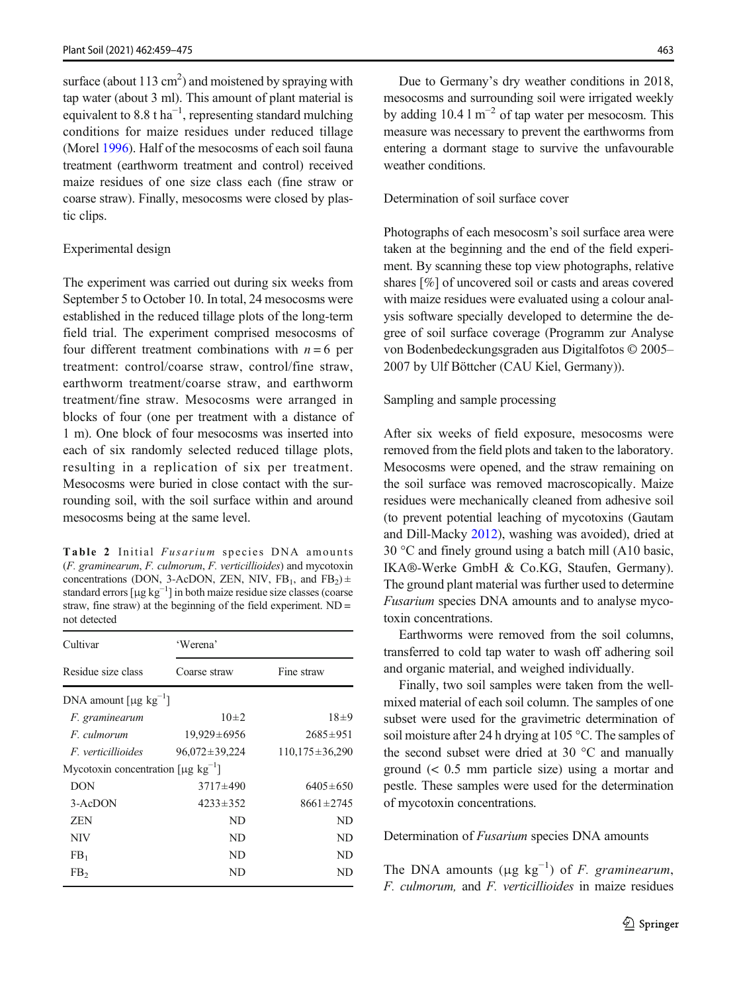<span id="page-4-0"></span>surface (about  $113 \text{ cm}^2$ ) and moistened by spraying with tap water (about 3 ml). This amount of plant material is equivalent to 8.8 t ha<sup>-1</sup>, representing standard mulching conditions for maize residues under reduced tillage (Morel [1996](#page-15-0)). Half of the mesocosms of each soil fauna treatment (earthworm treatment and control) received maize residues of one size class each (fine straw or coarse straw). Finally, mesocosms were closed by plastic clips.

### Experimental design

The experiment was carried out during six weeks from September 5 to October 10. In total, 24 mesocosms were established in the reduced tillage plots of the long-term field trial. The experiment comprised mesocosms of four different treatment combinations with  $n = 6$  per treatment: control/coarse straw, control/fine straw, earthworm treatment/coarse straw, and earthworm treatment/fine straw. Mesocosms were arranged in blocks of four (one per treatment with a distance of 1 m). One block of four mesocosms was inserted into each of six randomly selected reduced tillage plots, resulting in a replication of six per treatment. Mesocosms were buried in close contact with the surrounding soil, with the soil surface within and around mesocosms being at the same level.

Table 2 Initial Fusarium species DNA amounts (F. graminearum, F. culmorum, F. verticillioides) and mycotoxin concentrations (DON, 3-AcDON, ZEN, NIV,  $FB_1$ , and  $FB_2$ )  $\pm$ standard errors  $[\mu g \, kg^{-1}]$  in both maize residue size classes (coarse straw, fine straw) at the beginning of the field experiment. ND = not detected

| Cultivar                                      | 'Werena'            |                      |  |  |  |  |  |
|-----------------------------------------------|---------------------|----------------------|--|--|--|--|--|
| Residue size class                            | Coarse straw        | Fine straw           |  |  |  |  |  |
| DNA amount $\lceil \mu g \log^{-1} \rceil$    |                     |                      |  |  |  |  |  |
| F. graminearum                                | $10\pm 2$           | $18 + 9$             |  |  |  |  |  |
| F. culmorum                                   | $19,929 \pm 6956$   | $2685 \pm 951$       |  |  |  |  |  |
| <i>F. verticillioides</i>                     | $96,072 \pm 39,224$ | $110.175 \pm 36.290$ |  |  |  |  |  |
| Mycotoxin concentration $\lceil \mu g \rceil$ |                     |                      |  |  |  |  |  |
| <b>DON</b>                                    | $3717\pm490$        | $6405 \pm 650$       |  |  |  |  |  |
| $3 - AcDOM$                                   | $4233 \pm 352$      | $8661 \pm 2745$      |  |  |  |  |  |
| <b>ZEN</b>                                    | ND.                 | ND                   |  |  |  |  |  |
| NIV                                           | ND.                 | ND                   |  |  |  |  |  |
| FB <sub>1</sub>                               | ND.                 | ND                   |  |  |  |  |  |
| FB <sub>2</sub>                               | ND                  | ND                   |  |  |  |  |  |

Due to Germany's dry weather conditions in 2018, mesocosms and surrounding soil were irrigated weekly by adding 10.4 l  $m^{-2}$  of tap water per mesocosm. This measure was necessary to prevent the earthworms from entering a dormant stage to survive the unfavourable weather conditions.

## Determination of soil surface cover

Photographs of each mesocosm's soil surface area were taken at the beginning and the end of the field experiment. By scanning these top view photographs, relative shares [%] of uncovered soil or casts and areas covered with maize residues were evaluated using a colour analysis software specially developed to determine the degree of soil surface coverage (Programm zur Analyse von Bodenbedeckungsgraden aus Digitalfotos © 2005– 2007 by Ulf Böttcher (CAU Kiel, Germany)).

## Sampling and sample processing

After six weeks of field exposure, mesocosms were removed from the field plots and taken to the laboratory. Mesocosms were opened, and the straw remaining on the soil surface was removed macroscopically. Maize residues were mechanically cleaned from adhesive soil (to prevent potential leaching of mycotoxins (Gautam and Dill-Macky [2012\)](#page-14-0), washing was avoided), dried at 30 °C and finely ground using a batch mill (A10 basic, IKA®-Werke GmbH & Co.KG, Staufen, Germany). The ground plant material was further used to determine Fusarium species DNA amounts and to analyse mycotoxin concentrations.

Earthworms were removed from the soil columns, transferred to cold tap water to wash off adhering soil and organic material, and weighed individually.

Finally, two soil samples were taken from the wellmixed material of each soil column. The samples of one subset were used for the gravimetric determination of soil moisture after 24 h drying at 105 °C. The samples of the second subset were dried at 30 °C and manually ground (< 0.5 mm particle size) using a mortar and pestle. These samples were used for the determination of mycotoxin concentrations.

#### Determination of *Fusarium* species DNA amounts

The DNA amounts ( $\mu$ g kg<sup>-1</sup>) of *F. graminearum*, F. culmorum, and F. verticillioides in maize residues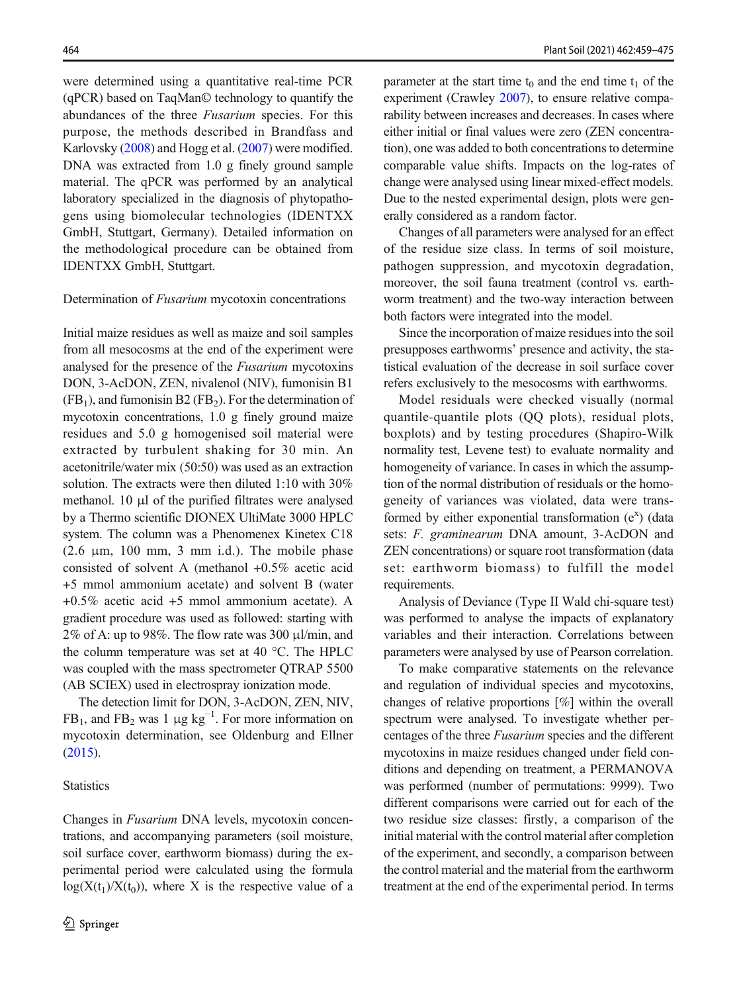were determined using a quantitative real-time PCR (qPCR) based on TaqMan© technology to quantify the abundances of the three Fusarium species. For this purpose, the methods described in Brandfass and Karlovsky [\(2008\)](#page-13-0) and Hogg et al. ([2007](#page-14-0)) were modified. DNA was extracted from 1.0 g finely ground sample material. The qPCR was performed by an analytical laboratory specialized in the diagnosis of phytopathogens using biomolecular technologies (IDENTXX GmbH, Stuttgart, Germany). Detailed information on the methodological procedure can be obtained from IDENTXX GmbH, Stuttgart.

#### Determination of Fusarium mycotoxin concentrations

Initial maize residues as well as maize and soil samples from all mesocosms at the end of the experiment were analysed for the presence of the Fusarium mycotoxins DON, 3-AcDON, ZEN, nivalenol (NIV), fumonisin B1  $(FB<sub>1</sub>)$ , and fumonisin B2 (FB<sub>2</sub>). For the determination of mycotoxin concentrations, 1.0 g finely ground maize residues and 5.0 g homogenised soil material were extracted by turbulent shaking for 30 min. An acetonitrile/water mix (50:50) was used as an extraction solution. The extracts were then diluted 1:10 with 30% methanol. 10 μl of the purified filtrates were analysed by a Thermo scientific DIONEX UltiMate 3000 HPLC system. The column was a Phenomenex Kinetex C18 (2.6  $\mu$ m, 100 mm, 3 mm i.d.). The mobile phase consisted of solvent A (methanol +0.5% acetic acid +5 mmol ammonium acetate) and solvent B (water +0.5% acetic acid +5 mmol ammonium acetate). A gradient procedure was used as followed: starting with  $2\%$  of A: up to 98%. The flow rate was 300  $\mu$ l/min, and the column temperature was set at 40 °C. The HPLC was coupled with the mass spectrometer QTRAP 5500 (AB SCIEX) used in electrospray ionization mode.

The detection limit for DON, 3-AcDON, ZEN, NIV,  $FB_1$ , and  $FB_2$  was 1 µg  $kg^{-1}$ . For more information on mycotoxin determination, see Oldenburg and Ellner ([2015](#page-15-0)).

## **Statistics**

Changes in Fusarium DNA levels, mycotoxin concentrations, and accompanying parameters (soil moisture, soil surface cover, earthworm biomass) during the experimental period were calculated using the formula  $log(X(t_1)/X(t_0))$ , where X is the respective value of a parameter at the start time  $t_0$  and the end time  $t_1$  of the experiment (Crawley [2007\)](#page-14-0), to ensure relative comparability between increases and decreases. In cases where either initial or final values were zero (ZEN concentration), one was added to both concentrations to determine comparable value shifts. Impacts on the log-rates of change were analysed using linear mixed-effect models. Due to the nested experimental design, plots were generally considered as a random factor.

Changes of all parameters were analysed for an effect of the residue size class. In terms of soil moisture, pathogen suppression, and mycotoxin degradation, moreover, the soil fauna treatment (control vs. earthworm treatment) and the two-way interaction between both factors were integrated into the model.

Since the incorporation of maize residues into the soil presupposes earthworms' presence and activity, the statistical evaluation of the decrease in soil surface cover refers exclusively to the mesocosms with earthworms.

Model residuals were checked visually (normal quantile-quantile plots (QQ plots), residual plots, boxplots) and by testing procedures (Shapiro-Wilk normality test, Levene test) to evaluate normality and homogeneity of variance. In cases in which the assumption of the normal distribution of residuals or the homogeneity of variances was violated, data were transformed by either exponential transformation  $(e^x)$  (data sets: F. graminearum DNA amount, 3-AcDON and ZEN concentrations) or square root transformation (data set: earthworm biomass) to fulfill the model requirements.

Analysis of Deviance (Type II Wald chi-square test) was performed to analyse the impacts of explanatory variables and their interaction. Correlations between parameters were analysed by use of Pearson correlation.

To make comparative statements on the relevance and regulation of individual species and mycotoxins, changes of relative proportions [%] within the overall spectrum were analysed. To investigate whether percentages of the three Fusarium species and the different mycotoxins in maize residues changed under field conditions and depending on treatment, a PERMANOVA was performed (number of permutations: 9999). Two different comparisons were carried out for each of the two residue size classes: firstly, a comparison of the initial material with the control material after completion of the experiment, and secondly, a comparison between the control material and the material from the earthworm treatment at the end of the experimental period. In terms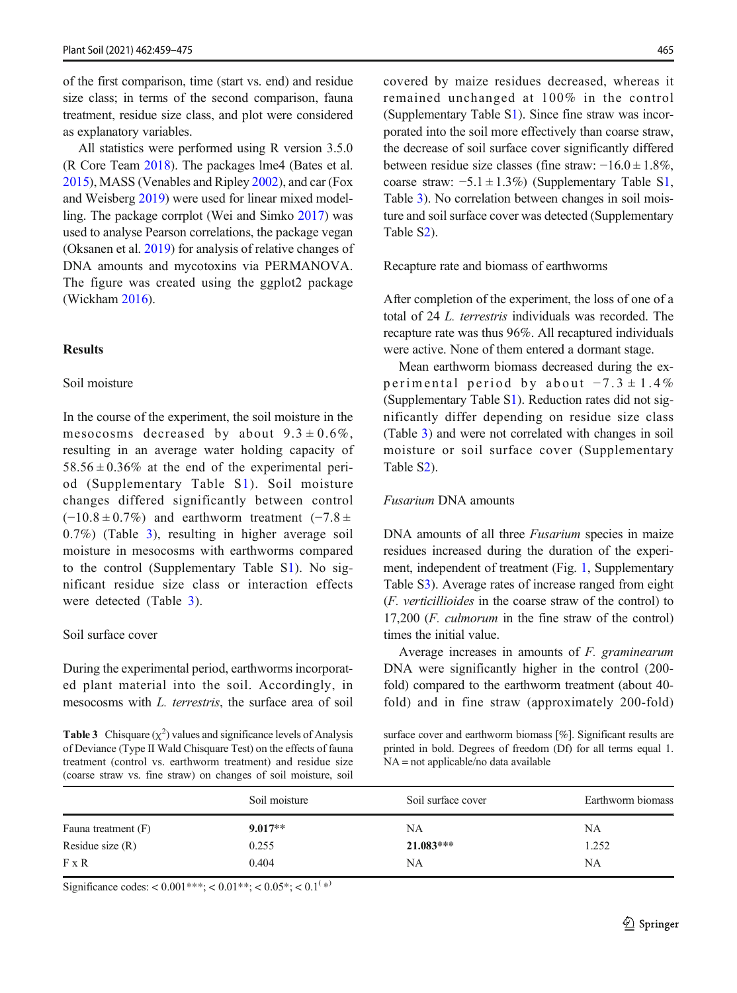of the first comparison, time (start vs. end) and residue size class; in terms of the second comparison, fauna treatment, residue size class, and plot were considered as explanatory variables.

All statistics were performed using R version 3.5.0 (R Core Team [2018\)](#page-15-0). The packages lme4 (Bates et al. [2015](#page-13-0)), MASS (Venables and Ripley [2002\)](#page-16-0), and car (Fox and Weisberg [2019\)](#page-14-0) were used for linear mixed modelling. The package corrplot (Wei and Simko [2017\)](#page-16-0) was used to analyse Pearson correlations, the package vegan (Oksanen et al. [2019\)](#page-15-0) for analysis of relative changes of DNA amounts and mycotoxins via PERMANOVA. The figure was created using the ggplot2 package (Wickham [2016\)](#page-16-0).

# Results

## Soil moisture

In the course of the experiment, the soil moisture in the mesocosms decreased by about  $9.3 \pm 0.6\%$ , resulting in an average water holding capacity of  $58.56 \pm 0.36\%$  at the end of the experimental period (Supplementary Table S1). Soil moisture changes differed significantly between control  $(-10.8 \pm 0.7\%)$  and earthworm treatment  $(-7.8 \pm 0.7\%)$ 0.7%) (Table 3), resulting in higher average soil moisture in mesocosms with earthworms compared to the control (Supplementary Table S1). No significant residue size class or interaction effects were detected (Table 3).

### Soil surface cover

During the experimental period, earthworms incorporated plant material into the soil. Accordingly, in mesocosms with L. terrestris, the surface area of soil

**Table 3** Chisquare  $(\chi^2)$  values and significance levels of Analysis of Deviance (Type II Wald Chisquare Test) on the effects of fauna treatment (control vs. earthworm treatment) and residue size (coarse straw vs. fine straw) on changes of soil moisture, soil covered by maize residues decreased, whereas it remained unchanged at 100% in the control (Supplementary Table S1). Since fine straw was incorporated into the soil more effectively than coarse straw, the decrease of soil surface cover significantly differed between residue size classes (fine straw: −16.0 ± 1.8%, coarse straw:  $-5.1 \pm 1.3\%$ ) (Supplementary Table S1, Table 3). No correlation between changes in soil moisture and soil surface cover was detected (Supplementary Table S2).

Recapture rate and biomass of earthworms

After completion of the experiment, the loss of one of a total of 24 L. terrestris individuals was recorded. The recapture rate was thus 96%. All recaptured individuals were active. None of them entered a dormant stage.

Mean earthworm biomass decreased during the experimental period by about  $-7.3 \pm 1.4\%$ (Supplementary Table S1). Reduction rates did not significantly differ depending on residue size class (Table 3) and were not correlated with changes in soil moisture or soil surface cover (Supplementary Table S2).

## Fusarium DNA amounts

DNA amounts of all three *Fusarium* species in maize residues increased during the duration of the experiment, independent of treatment (Fig. [1](#page-7-0), Supplementary Table S3). Average rates of increase ranged from eight (F. verticillioides in the coarse straw of the control) to 17,200 (F. culmorum in the fine straw of the control) times the initial value.

Average increases in amounts of F. graminearum DNA were significantly higher in the control (200 fold) compared to the earthworm treatment (about 40 fold) and in fine straw (approximately 200-fold)

surface cover and earthworm biomass [%]. Significant results are printed in bold. Degrees of freedom (Df) for all terms equal 1. NA = not applicable/no data available

|                     | Soil moisture | Soil surface cover | Earthworm biomass |  |
|---------------------|---------------|--------------------|-------------------|--|
| Fauna treatment (F) | $9.017**$     | <b>NA</b>          | NA                |  |
| Residue size $(R)$  | 0.255         | $21.083***$        | 1.252             |  |
| $F \times R$        | 0.404         | <b>NA</b>          | <b>NA</b>         |  |

Significance codes: <  $0.001***$ ; <  $0.01**$ ; <  $0.05*$ ; <  $0.1$ <sup>(\*)</sup>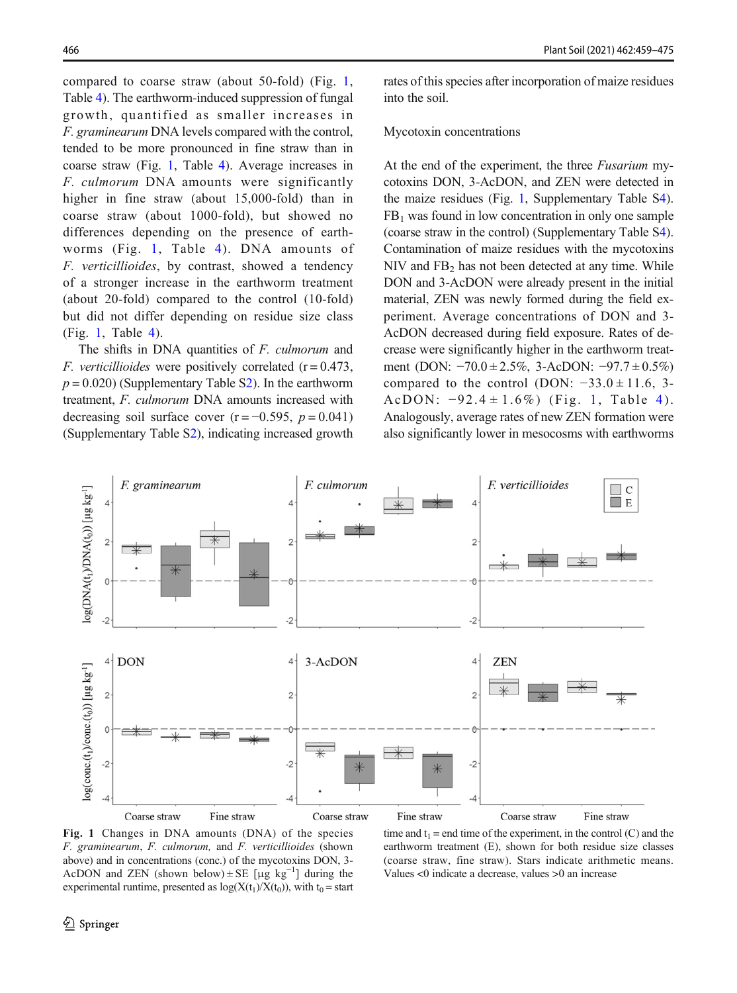<span id="page-7-0"></span>compared to coarse straw (about 50-fold) (Fig. 1, Table [4\)](#page-8-0). The earthworm-induced suppression of fungal growth, quantified as smaller increases in F. graminearum DNA levels compared with the control, tended to be more pronounced in fine straw than in coarse straw (Fig. 1, Table [4](#page-8-0)). Average increases in F. culmorum DNA amounts were significantly higher in fine straw (about 15,000-fold) than in coarse straw (about 1000-fold), but showed no differences depending on the presence of earthworms (Fig. 1, Table [4](#page-8-0)). DNA amounts of F. verticillioides, by contrast, showed a tendency of a stronger increase in the earthworm treatment (about 20-fold) compared to the control (10-fold) but did not differ depending on residue size class (Fig. 1, Table [4](#page-8-0)).

The shifts in DNA quantities of *F. culmorum* and F. verticillioides were positively correlated  $(r = 0.473,$  $p = 0.020$ ) (Supplementary Table S2). In the earthworm treatment, F. culmorum DNA amounts increased with decreasing soil surface cover  $(r = -0.595, p = 0.041)$ (Supplementary Table S2), indicating increased growth rates of this species after incorporation of maize residues into the soil.

#### Mycotoxin concentrations

At the end of the experiment, the three Fusarium mycotoxins DON, 3-AcDON, and ZEN were detected in the maize residues (Fig. 1, Supplementary Table S4).  $FB<sub>1</sub>$  was found in low concentration in only one sample (coarse straw in the control) (Supplementary Table S4). Contamination of maize residues with the mycotoxins  $NIV$  and  $FB<sub>2</sub>$  has not been detected at any time. While DON and 3-AcDON were already present in the initial material, ZEN was newly formed during the field experiment. Average concentrations of DON and 3- AcDON decreased during field exposure. Rates of decrease were significantly higher in the earthworm treatment (DON: −70.0 ± 2.5%, 3-AcDON: −97.7 ± 0.5%) compared to the control (DON:  $-33.0 \pm 11.6$ , 3-AcDON:  $-92.4 \pm 1.6\%$  $-92.4 \pm 1.6\%$  $-92.4 \pm 1.6\%$ ) (Fig. 1, Table 4). Analogously, average rates of new ZEN formation were also significantly lower in mesocosms with earthworms



Fig. 1 Changes in DNA amounts (DNA) of the species F. graminearum, F. culmorum, and F. verticillioides (shown above) and in concentrations (conc.) of the mycotoxins DON, 3- AcDON and ZEN (shown below)  $\pm$  SE [µg kg<sup>-1</sup>] during the experimental runtime, presented as  $log(X(t_1)/X(t_0))$ , with  $t_0 =$  start

time and  $t_1$  = end time of the experiment, in the control (C) and the earthworm treatment (E), shown for both residue size classes (coarse straw, fine straw). Stars indicate arithmetic means. Values <0 indicate a decrease, values >0 an increase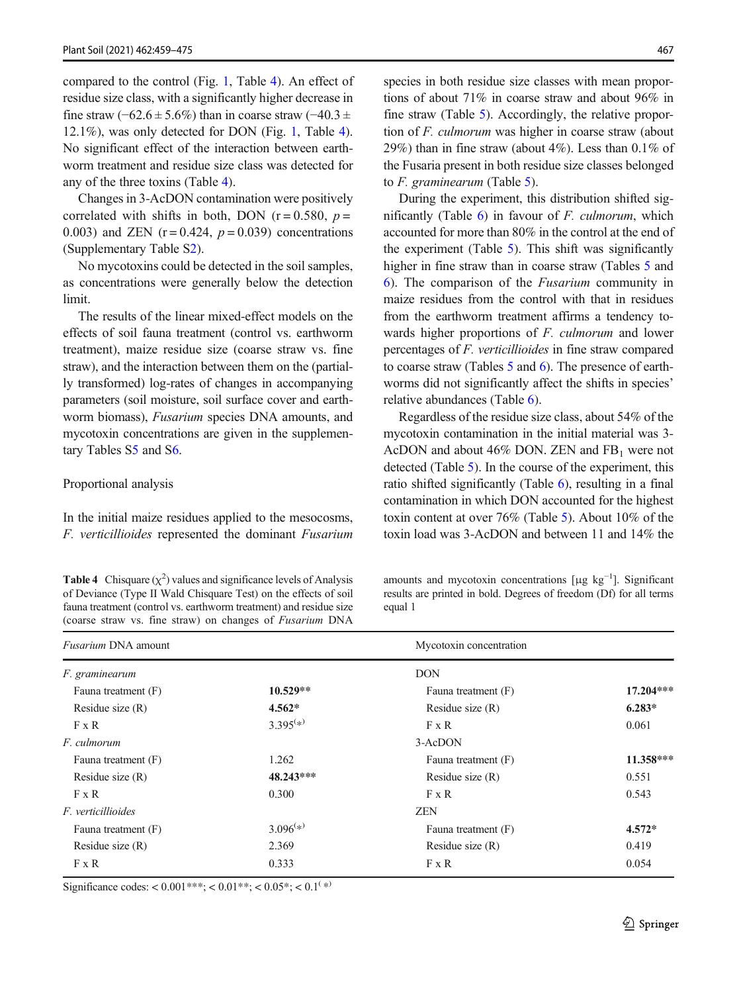<span id="page-8-0"></span>compared to the control (Fig. [1](#page-7-0), Table 4). An effect of residue size class, with a significantly higher decrease in fine straw (−62.6 ± 5.6%) than in coarse straw (−40.3 ± 12.1%), was only detected for DON (Fig. [1,](#page-7-0) Table 4). No significant effect of the interaction between earthworm treatment and residue size class was detected for any of the three toxins (Table 4).

Changes in 3-AcDON contamination were positively correlated with shifts in both, DON ( $r = 0.580$ ,  $p =$ 0.003) and ZEN  $(r = 0.424, p = 0.039)$  concentrations (Supplementary Table S2).

No mycotoxins could be detected in the soil samples, as concentrations were generally below the detection limit.

The results of the linear mixed-effect models on the effects of soil fauna treatment (control vs. earthworm treatment), maize residue size (coarse straw vs. fine straw), and the interaction between them on the (partially transformed) log-rates of changes in accompanying parameters (soil moisture, soil surface cover and earthworm biomass), Fusarium species DNA amounts, and mycotoxin concentrations are given in the supplementary Tables S5 and S6.

#### Proportional analysis

In the initial maize residues applied to the mesocosms, F. verticillioides represented the dominant Fusarium

**Table 4** Chisquare  $(\chi^2)$  values and significance levels of Analysis of Deviance (Type II Wald Chisquare Test) on the effects of soil fauna treatment (control vs. earthworm treatment) and residue size (coarse straw vs. fine straw) on changes of Fusarium DNA

species in both residue size classes with mean proportions of about 71% in coarse straw and about 96% in fine straw (Table [5\)](#page-9-0). Accordingly, the relative proportion of F. culmorum was higher in coarse straw (about 29%) than in fine straw (about 4%). Less than 0.1% of the Fusaria present in both residue size classes belonged to F. graminearum (Table [5](#page-9-0)).

During the experiment, this distribution shifted significantly (Table  $6$ ) in favour of *F. culmorum*, which accounted for more than 80% in the control at the end of the experiment (Table [5\)](#page-9-0). This shift was significantly higher in fine straw than in coarse straw (Tables [5](#page-9-0) and [6\)](#page-9-0). The comparison of the Fusarium community in maize residues from the control with that in residues from the earthworm treatment affirms a tendency towards higher proportions of F. culmorum and lower percentages of F. verticillioides in fine straw compared to coarse straw (Tables [5](#page-9-0) and [6\)](#page-9-0). The presence of earthworms did not significantly affect the shifts in species' relative abundances (Table [6\)](#page-9-0).

Regardless of the residue size class, about 54% of the mycotoxin contamination in the initial material was 3- AcDON and about 46% DON. ZEN and  $FB<sub>1</sub>$  were not detected (Table [5](#page-9-0)). In the course of the experiment, this ratio shifted significantly (Table [6](#page-9-0)), resulting in a final contamination in which DON accounted for the highest toxin content at over 76% (Table [5\)](#page-9-0). About 10% of the toxin load was 3-AcDON and between 11 and 14% the

amounts and mycotoxin concentrations [μg kg<sup>-1</sup>]. Significant results are printed in bold. Degrees of freedom (Df) for all terms equal 1

| <i>Fusarium DNA</i> amount |               | Mycotoxin concentration |             |  |
|----------------------------|---------------|-------------------------|-------------|--|
| F. graminearum             |               | <b>DON</b>              |             |  |
| Fauna treatment (F)        | $10.529**$    | Fauna treatment (F)     | $17.204***$ |  |
| Residue size $(R)$         | $4.562*$      | Residue size $(R)$      | $6.283*$    |  |
| $F \times R$               | $3.395^{(*)}$ | F x R                   | 0.061       |  |
| F. culmorum                |               | 3-AcDON                 |             |  |
| Fauna treatment (F)        | 1.262         | Fauna treatment (F)     | 11.358***   |  |
| Residue size $(R)$         | 48.243***     | Residue size $(R)$      | 0.551       |  |
| $F \times R$               | 0.300         | $F \times R$            | 0.543       |  |
| <i>F. verticillioides</i>  |               | <b>ZEN</b>              |             |  |
| Fauna treatment (F)        | $3.096^{(*)}$ | Fauna treatment (F)     | $4.572*$    |  |
| Residue size $(R)$         | 2.369         | Residue size $(R)$      | 0.419       |  |
| $F \times R$               | 0.333         | $F \times R$            | 0.054       |  |

Significance codes: <  $0.001***$ ; <  $0.01**$ ; <  $0.05*$ ; <  $0.1$ <sup>(\*)</sup>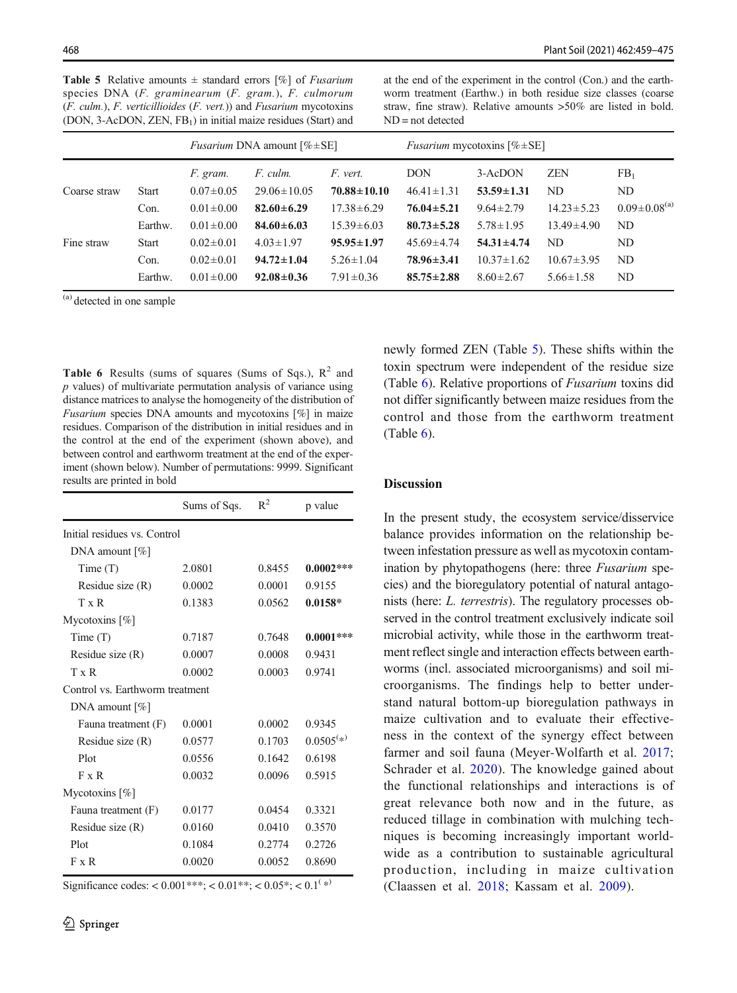<span id="page-9-0"></span>**Table 5** Relative amounts  $\pm$  standard errors [%] of *Fusarium* species DNA (F. graminearum (F. gram.), F. culmorum  $(F. \text{culm.}), F. \text{verticilloides } (F. \text{vert.})$  and  $F$ usarium mycotoxins (DON, 3-AcDON, ZEN, FB<sub>1</sub>) in initial maize residues (Start) and

at the end of the experiment in the control (Con.) and the earthworm treatment (Earthw.) in both residue size classes (coarse straw, fine straw). Relative amounts >50% are listed in bold. ND = not detected

|              |              | <i>Fusarium</i> DNA amount $[\% \pm SE]$ |                               | <i>Fusarium</i> mycotoxins $[\% \pm SE]$ |                                |                             |                  |                                |
|--------------|--------------|------------------------------------------|-------------------------------|------------------------------------------|--------------------------------|-----------------------------|------------------|--------------------------------|
| Coarse straw | <b>Start</b> | F. gram.<br>$0.07 \pm 0.05$              | F. culm.<br>$29.06 \pm 10.05$ | F. vert.<br>$70.88 \pm 10.10$            | <b>DON</b><br>$46.41 \pm 1.31$ | 3-AcDON<br>$53.59 \pm 1.31$ | <b>ZEN</b><br>ND | FB <sub>1</sub><br>ND          |
|              | Con.         | $0.01 \pm 0.00$                          | $82.60 \pm 6.29$              | $17.38 \pm 6.29$                         | $76.04 \pm 5.21$               | $9.64 \pm 2.79$             | $14.23 \pm 5.23$ | $0.09 \pm 0.08$ <sup>(a)</sup> |
|              | Earthw.      | $0.01 \pm 0.00$                          | $84.60 \pm 6.03$              | $15.39 \pm 6.03$                         | $80.73 \pm 5.28$               | $5.78 \pm 1.95$             | $13.49 \pm 4.90$ | ND.                            |
| Fine straw   | <b>Start</b> | $0.02 \pm 0.01$                          | $4.03 \pm 1.97$               | $95.95 \pm 1.97$                         | $45.69 \pm 4.74$               | $54.31 \pm 4.74$            | ND.              | ND                             |
|              | Con.         | $0.02 \pm 0.01$                          | $94.72 \pm 1.04$              | $5.26 \pm 1.04$                          | $78.96 \pm 3.41$               | $10.37 \pm 1.62$            | $10.67 \pm 3.95$ | ND.                            |
|              | Earthw.      | $0.01 \pm 0.00$                          | $92.08 \pm 0.36$              | $7.91 \pm 0.36$                          | $85.75 \pm 2.88$               | $8.60 \pm 2.67$             | $5.66 \pm 1.58$  | ND                             |

(a) detected in one sample

**Table 6** Results (sums of squares (Sums of Sqs.),  $R^2$  and  $p$  values) of multivariate permutation analysis of variance using distance matrices to analyse the homogeneity of the distribution of Fusarium species DNA amounts and mycotoxins [%] in maize residues. Comparison of the distribution in initial residues and in the control at the end of the experiment (shown above), and between control and earthworm treatment at the end of the experiment (shown below). Number of permutations: 9999. Significant results are printed in bold

|                                 | Sums of Sqs. | $R^2$  | p value     |  |  |
|---------------------------------|--------------|--------|-------------|--|--|
| Initial residues vs. Control    |              |        |             |  |  |
| DNA amount $[\%]$               |              |        |             |  |  |
| Time(T)                         | 2.0801       | 0.8455 | $0.0002***$ |  |  |
| Residue size $(R)$              | 0.0002       | 0.0001 | 0.9155      |  |  |
| $T \times R$                    | 0.1383       | 0.0562 | $0.0158*$   |  |  |
| Mycotoxins $[\%]$               |              |        |             |  |  |
| Time(T)                         | 0.7187       | 0.7648 | $0.0001***$ |  |  |
| Residue size $(R)$              | 0.0007       | 0.0008 | 0.9431      |  |  |
| $T \times R$                    | 0.0002       | 0.0003 | 0.9741      |  |  |
| Control ys. Earthworm treatment |              |        |             |  |  |
| DNA amount $[\%]$               |              |        |             |  |  |
| Fauna treatment (F)             | 0.0001       | 0.0002 | 0.9345      |  |  |
| Residue size (R)                | 0.0577       | 0.1703 | $0.0505(*)$ |  |  |
| Plot                            | 0.0556       | 0.1642 | 0.6198      |  |  |
| $F \times R$                    | 0.0032       | 0.0096 | 0.5915      |  |  |
| Mycotoxins $[\%]$               |              |        |             |  |  |
| Fauna treatment (F)             | 0.0177       | 0.0454 | 0.3321      |  |  |
| Residue size $(R)$              | 0.0160       | 0.0410 | 0.3570      |  |  |
| Plot                            | 0.1084       | 0.2774 | 0.2726      |  |  |
| $F \times R$                    | 0.0020       | 0.0052 | 0.8690      |  |  |

Significance codes: <  $0.001***$ ; <  $0.01**$ ; <  $0.05*$ ; <  $0.1$ <sup>(\*)</sup>

newly formed ZEN (Table 5). These shifts within the toxin spectrum were independent of the residue size (Table 6). Relative proportions of Fusarium toxins did not differ significantly between maize residues from the control and those from the earthworm treatment (Table  $6$ ).

## Discussion

In the present study, the ecosystem service/disservice balance provides information on the relationship between infestation pressure as well as mycotoxin contamination by phytopathogens (here: three *Fusarium* species) and the bioregulatory potential of natural antagonists (here: L. terrestris). The regulatory processes observed in the control treatment exclusively indicate soil microbial activity, while those in the earthworm treatment reflect single and interaction effects between earthworms (incl. associated microorganisms) and soil microorganisms. The findings help to better understand natural bottom-up bioregulation pathways in maize cultivation and to evaluate their effectiveness in the context of the synergy effect between farmer and soil fauna (Meyer-Wolfarth et al. [2017;](#page-15-0) Schrader et al. [2020\)](#page-15-0). The knowledge gained about the functional relationships and interactions is of great relevance both now and in the future, as reduced tillage in combination with mulching techniques is becoming increasingly important worldwide as a contribution to sustainable agricultural production, including in maize cultivation (Claassen et al. [2018](#page-14-0); Kassam et al. [2009](#page-14-0)).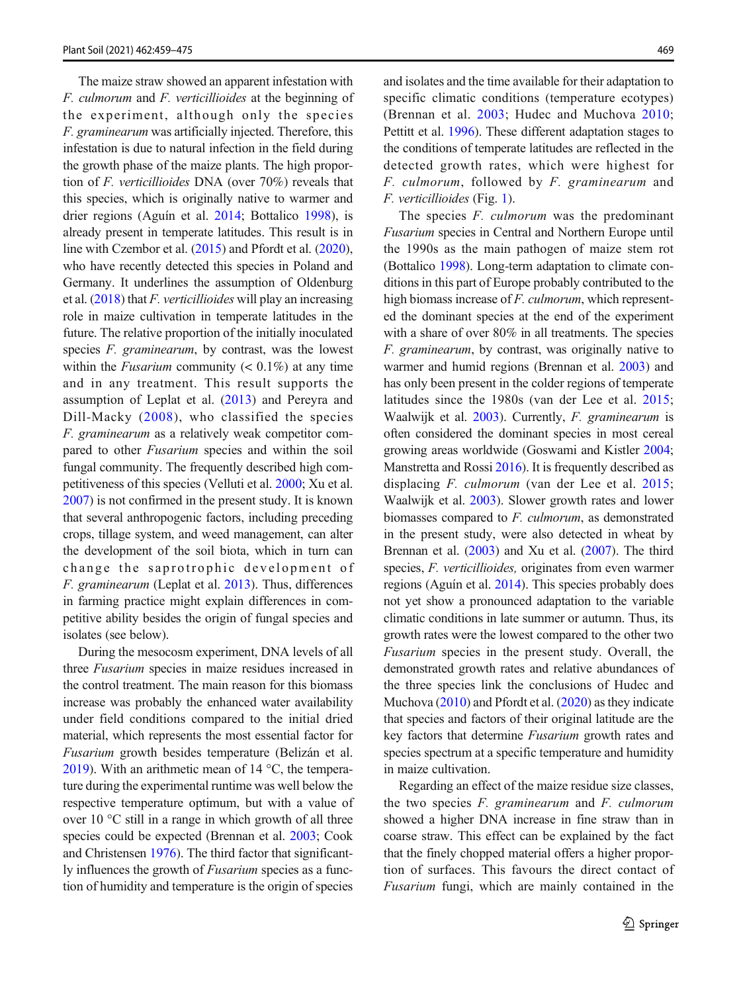The maize straw showed an apparent infestation with F. culmorum and F. verticillioides at the beginning of the experiment, although only the species F. graminearum was artificially injected. Therefore, this infestation is due to natural infection in the field during the growth phase of the maize plants. The high proportion of F. verticillioides DNA (over 70%) reveals that this species, which is originally native to warmer and drier regions (Aguín et al. [2014](#page-13-0); Bottalico [1998\)](#page-13-0), is already present in temperate latitudes. This result is in line with Czembor et al. [\(2015\)](#page-14-0) and Pfordt et al. [\(2020\)](#page-15-0), who have recently detected this species in Poland and Germany. It underlines the assumption of Oldenburg et al.  $(2018)$  that *F. verticillioides* will play an increasing role in maize cultivation in temperate latitudes in the future. The relative proportion of the initially inoculated species F. graminearum, by contrast, was the lowest within the *Fusarium* community  $(< 0.1\%)$  at any time and in any treatment. This result supports the assumption of Leplat et al. [\(2013](#page-15-0)) and Pereyra and Dill-Macky ([2008](#page-15-0)), who classified the species F. graminearum as a relatively weak competitor compared to other Fusarium species and within the soil fungal community. The frequently described high competitiveness of this species (Velluti et al. [2000](#page-16-0); Xu et al. [2007](#page-16-0)) is not confirmed in the present study. It is known that several anthropogenic factors, including preceding crops, tillage system, and weed management, can alter the development of the soil biota, which in turn can change the saprotrophic development of F. graminearum (Leplat et al. [2013](#page-15-0)). Thus, differences in farming practice might explain differences in competitive ability besides the origin of fungal species and isolates (see below).

During the mesocosm experiment, DNA levels of all three Fusarium species in maize residues increased in the control treatment. The main reason for this biomass increase was probably the enhanced water availability under field conditions compared to the initial dried material, which represents the most essential factor for Fusarium growth besides temperature (Belizán et al. [2019](#page-13-0)). With an arithmetic mean of 14 °C, the temperature during the experimental runtime was well below the respective temperature optimum, but with a value of over 10 °C still in a range in which growth of all three species could be expected (Brennan et al. [2003;](#page-13-0) Cook and Christensen [1976\)](#page-14-0). The third factor that significantly influences the growth of Fusarium species as a function of humidity and temperature is the origin of species

and isolates and the time available for their adaptation to specific climatic conditions (temperature ecotypes) (Brennan et al. [2003](#page-13-0); Hudec and Muchova [2010;](#page-14-0) Pettitt et al. [1996](#page-15-0)). These different adaptation stages to the conditions of temperate latitudes are reflected in the detected growth rates, which were highest for F. culmorum, followed by F. graminearum and F. verticillioides (Fig. [1](#page-7-0)).

The species F. culmorum was the predominant Fusarium species in Central and Northern Europe until the 1990s as the main pathogen of maize stem rot (Bottalico [1998\)](#page-13-0). Long-term adaptation to climate conditions in this part of Europe probably contributed to the high biomass increase of F. culmorum, which represented the dominant species at the end of the experiment with a share of over 80% in all treatments. The species F. graminearum, by contrast, was originally native to warmer and humid regions (Brennan et al. [2003](#page-13-0)) and has only been present in the colder regions of temperate latitudes since the 1980s (van der Lee et al. [2015;](#page-16-0) Waalwijk et al. [2003\)](#page-16-0). Currently, F. graminearum is often considered the dominant species in most cereal growing areas worldwide (Goswami and Kistler [2004;](#page-14-0) Manstretta and Rossi [2016](#page-15-0)). It is frequently described as displacing F. culmorum (van der Lee et al. [2015;](#page-16-0) Waalwijk et al. [2003\)](#page-16-0). Slower growth rates and lower biomasses compared to F. culmorum, as demonstrated in the present study, were also detected in wheat by Brennan et al. [\(2003\)](#page-13-0) and Xu et al. ([2007](#page-16-0)). The third species, F. verticillioides, originates from even warmer regions (Aguín et al. [2014\)](#page-13-0). This species probably does not yet show a pronounced adaptation to the variable climatic conditions in late summer or autumn. Thus, its growth rates were the lowest compared to the other two Fusarium species in the present study. Overall, the demonstrated growth rates and relative abundances of the three species link the conclusions of Hudec and Muchova ([2010](#page-14-0)) and Pfordt et al. ([2020](#page-15-0)) as they indicate that species and factors of their original latitude are the key factors that determine Fusarium growth rates and species spectrum at a specific temperature and humidity in maize cultivation.

Regarding an effect of the maize residue size classes, the two species  $F$ . graminearum and  $F$ . culmorum showed a higher DNA increase in fine straw than in coarse straw. This effect can be explained by the fact that the finely chopped material offers a higher proportion of surfaces. This favours the direct contact of Fusarium fungi, which are mainly contained in the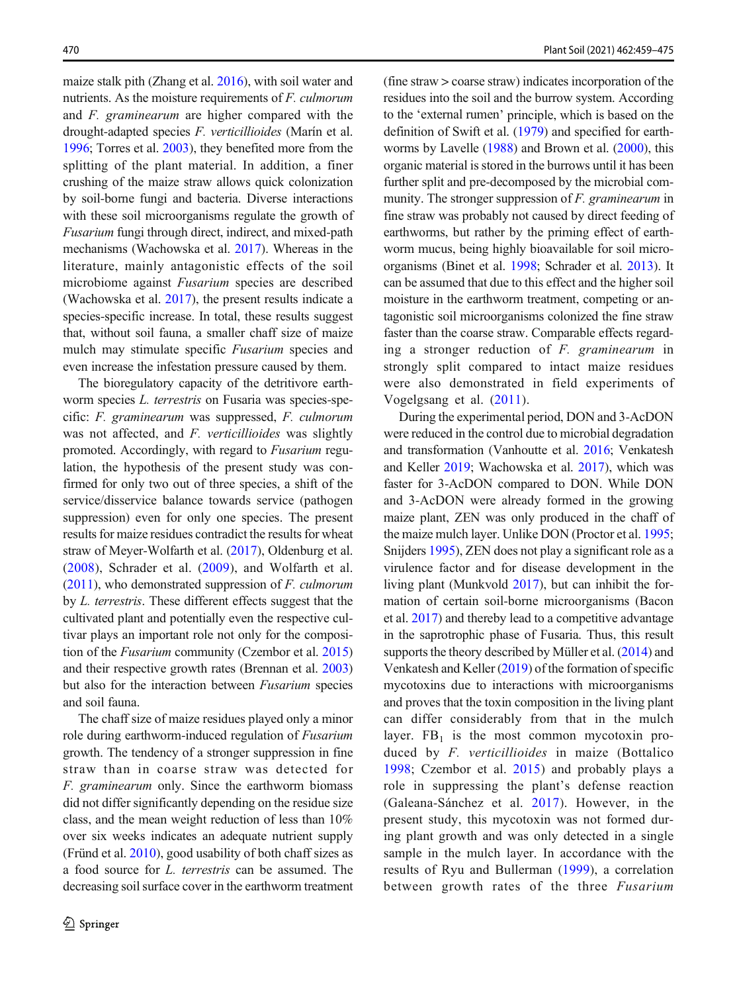maize stalk pith (Zhang et al. [2016\)](#page-16-0), with soil water and nutrients. As the moisture requirements of F. culmorum and F. graminearum are higher compared with the drought-adapted species F. verticillioides (Marín et al. [1996](#page-15-0); Torres et al. [2003](#page-16-0)), they benefited more from the splitting of the plant material. In addition, a finer crushing of the maize straw allows quick colonization by soil-borne fungi and bacteria. Diverse interactions with these soil microorganisms regulate the growth of Fusarium fungi through direct, indirect, and mixed-path mechanisms (Wachowska et al. [2017\)](#page-16-0). Whereas in the literature, mainly antagonistic effects of the soil microbiome against Fusarium species are described (Wachowska et al. [2017](#page-16-0)), the present results indicate a species-specific increase. In total, these results suggest that, without soil fauna, a smaller chaff size of maize mulch may stimulate specific Fusarium species and even increase the infestation pressure caused by them.

The bioregulatory capacity of the detritivore earthworm species L. terrestris on Fusaria was species-specific: F. graminearum was suppressed, F. culmorum was not affected, and F. verticillioides was slightly promoted. Accordingly, with regard to Fusarium regulation, the hypothesis of the present study was confirmed for only two out of three species, a shift of the service/disservice balance towards service (pathogen suppression) even for only one species. The present results for maize residues contradict the results for wheat straw of Meyer-Wolfarth et al. [\(2017\)](#page-15-0), Oldenburg et al. ([2008](#page-15-0)), Schrader et al. [\(2009\)](#page-15-0), and Wolfarth et al.  $(2011)$  $(2011)$  $(2011)$ , who demonstrated suppression of *F. culmorum* by L. terrestris. These different effects suggest that the cultivated plant and potentially even the respective cultivar plays an important role not only for the composition of the Fusarium community (Czembor et al. [2015\)](#page-14-0) and their respective growth rates (Brennan et al. [2003\)](#page-13-0) but also for the interaction between Fusarium species and soil fauna.

The chaff size of maize residues played only a minor role during earthworm-induced regulation of Fusarium growth. The tendency of a stronger suppression in fine straw than in coarse straw was detected for F. graminearum only. Since the earthworm biomass did not differ significantly depending on the residue size class, and the mean weight reduction of less than 10% over six weeks indicates an adequate nutrient supply (Fründ et al.  $2010$ ), good usability of both chaff sizes as a food source for L. terrestris can be assumed. The decreasing soil surface cover in the earthworm treatment (fine straw > coarse straw) indicates incorporation of the residues into the soil and the burrow system. According to the 'external rumen' principle, which is based on the definition of Swift et al. [\(1979\)](#page-16-0) and specified for earthworms by Lavelle ([1988](#page-15-0)) and Brown et al. [\(2000\)](#page-14-0), this organic material is stored in the burrows until it has been further split and pre-decomposed by the microbial community. The stronger suppression of F. graminearum in fine straw was probably not caused by direct feeding of earthworms, but rather by the priming effect of earthworm mucus, being highly bioavailable for soil microorganisms (Binet et al. [1998;](#page-13-0) Schrader et al. [2013](#page-15-0)). It can be assumed that due to this effect and the higher soil moisture in the earthworm treatment, competing or antagonistic soil microorganisms colonized the fine straw faster than the coarse straw. Comparable effects regarding a stronger reduction of F. graminearum in strongly split compared to intact maize residues were also demonstrated in field experiments of Vogelgsang et al. [\(2011\)](#page-16-0).

During the experimental period, DON and 3-AcDON were reduced in the control due to microbial degradation and transformation (Vanhoutte et al. [2016](#page-16-0); Venkatesh and Keller [2019](#page-16-0); Wachowska et al. [2017\)](#page-16-0), which was faster for 3-AcDON compared to DON. While DON and 3-AcDON were already formed in the growing maize plant, ZEN was only produced in the chaff of the maize mulch layer. Unlike DON (Proctor et al. [1995;](#page-15-0) Snijders [1995](#page-15-0)), ZEN does not play a significant role as a virulence factor and for disease development in the living plant (Munkvold [2017](#page-15-0)), but can inhibit the formation of certain soil-borne microorganisms (Bacon et al. [2017](#page-13-0)) and thereby lead to a competitive advantage in the saprotrophic phase of Fusaria. Thus, this result supports the theory described by Müller et al. ([2014](#page-15-0)) and Venkatesh and Keller ([2019](#page-16-0)) of the formation of specific mycotoxins due to interactions with microorganisms and proves that the toxin composition in the living plant can differ considerably from that in the mulch layer.  $FB<sub>1</sub>$  is the most common mycotoxin produced by F. verticillioides in maize (Bottalico [1998](#page-13-0); Czembor et al. [2015\)](#page-14-0) and probably plays a role in suppressing the plant's defense reaction (Galeana-Sánchez et al. [2017\)](#page-14-0). However, in the present study, this mycotoxin was not formed during plant growth and was only detected in a single sample in the mulch layer. In accordance with the results of Ryu and Bullerman ([1999](#page-15-0)), a correlation between growth rates of the three Fusarium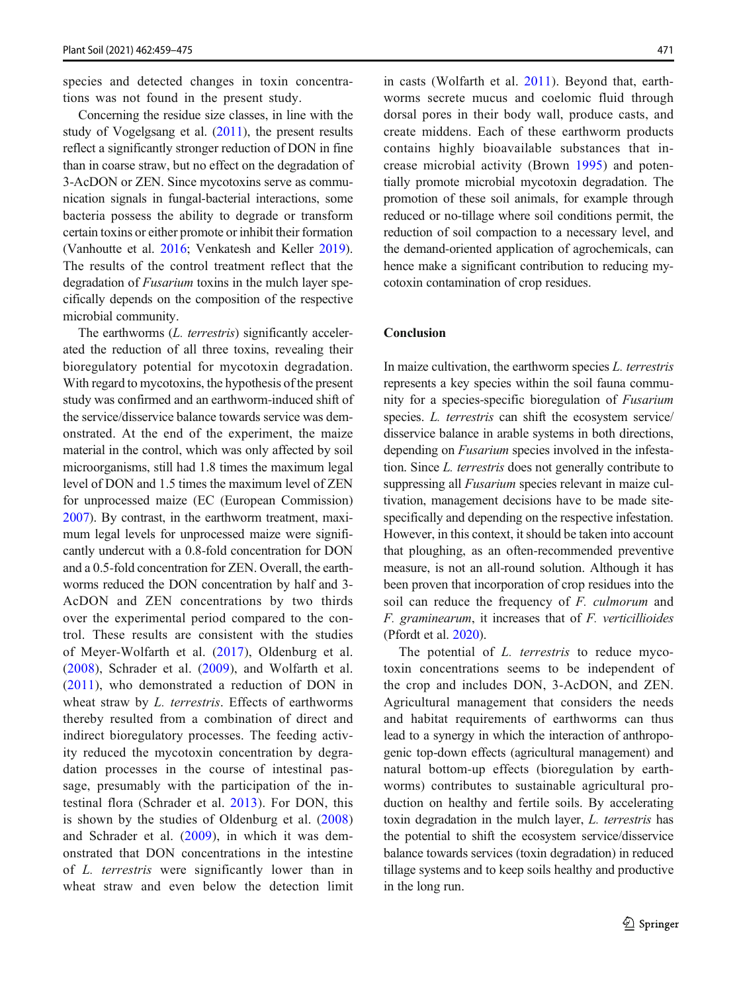species and detected changes in toxin concentrations was not found in the present study.

Concerning the residue size classes, in line with the study of Vogelgsang et al. ([2011](#page-16-0)), the present results reflect a significantly stronger reduction of DON in fine than in coarse straw, but no effect on the degradation of 3-AcDON or ZEN. Since mycotoxins serve as communication signals in fungal-bacterial interactions, some bacteria possess the ability to degrade or transform certain toxins or either promote or inhibit their formation (Vanhoutte et al. [2016;](#page-16-0) Venkatesh and Keller [2019\)](#page-16-0). The results of the control treatment reflect that the degradation of *Fusarium* toxins in the mulch layer specifically depends on the composition of the respective microbial community.

The earthworms (*L. terrestris*) significantly accelerated the reduction of all three toxins, revealing their bioregulatory potential for mycotoxin degradation. With regard to mycotoxins, the hypothesis of the present study was confirmed and an earthworm-induced shift of the service/disservice balance towards service was demonstrated. At the end of the experiment, the maize material in the control, which was only affected by soil microorganisms, still had 1.8 times the maximum legal level of DON and 1.5 times the maximum level of ZEN for unprocessed maize (EC (European Commission) [2007](#page-14-0)). By contrast, in the earthworm treatment, maximum legal levels for unprocessed maize were significantly undercut with a 0.8-fold concentration for DON and a 0.5-fold concentration for ZEN. Overall, the earthworms reduced the DON concentration by half and 3- AcDON and ZEN concentrations by two thirds over the experimental period compared to the control. These results are consistent with the studies of Meyer-Wolfarth et al. ([2017](#page-15-0)), Oldenburg et al. ([2008](#page-15-0)), Schrader et al. [\(2009\)](#page-15-0), and Wolfarth et al. ([2011](#page-16-0)), who demonstrated a reduction of DON in wheat straw by L. terrestris. Effects of earthworms thereby resulted from a combination of direct and indirect bioregulatory processes. The feeding activity reduced the mycotoxin concentration by degradation processes in the course of intestinal passage, presumably with the participation of the intestinal flora (Schrader et al. [2013](#page-15-0)). For DON, this is shown by the studies of Oldenburg et al. ([2008\)](#page-15-0) and Schrader et al. [\(2009](#page-15-0)), in which it was demonstrated that DON concentrations in the intestine of L. terrestris were significantly lower than in wheat straw and even below the detection limit

in casts (Wolfarth et al. [2011\)](#page-16-0). Beyond that, earthworms secrete mucus and coelomic fluid through dorsal pores in their body wall, produce casts, and create middens. Each of these earthworm products contains highly bioavailable substances that increase microbial activity (Brown [1995\)](#page-14-0) and potentially promote microbial mycotoxin degradation. The promotion of these soil animals, for example through reduced or no-tillage where soil conditions permit, the reduction of soil compaction to a necessary level, and the demand-oriented application of agrochemicals, can hence make a significant contribution to reducing mycotoxin contamination of crop residues.

## Conclusion

In maize cultivation, the earthworm species L. terrestris represents a key species within the soil fauna community for a species-specific bioregulation of Fusarium species. L. terrestris can shift the ecosystem service/ disservice balance in arable systems in both directions, depending on Fusarium species involved in the infestation. Since L. terrestris does not generally contribute to suppressing all *Fusarium* species relevant in maize cultivation, management decisions have to be made sitespecifically and depending on the respective infestation. However, in this context, it should be taken into account that ploughing, as an often-recommended preventive measure, is not an all-round solution. Although it has been proven that incorporation of crop residues into the soil can reduce the frequency of F. culmorum and F. graminearum, it increases that of F. verticillioides (Pfordt et al. [2020\)](#page-15-0).

The potential of *L. terrestris* to reduce mycotoxin concentrations seems to be independent of the crop and includes DON, 3-AcDON, and ZEN. Agricultural management that considers the needs and habitat requirements of earthworms can thus lead to a synergy in which the interaction of anthropogenic top-down effects (agricultural management) and natural bottom-up effects (bioregulation by earthworms) contributes to sustainable agricultural production on healthy and fertile soils. By accelerating toxin degradation in the mulch layer, L. terrestris has the potential to shift the ecosystem service/disservice balance towards services (toxin degradation) in reduced tillage systems and to keep soils healthy and productive in the long run.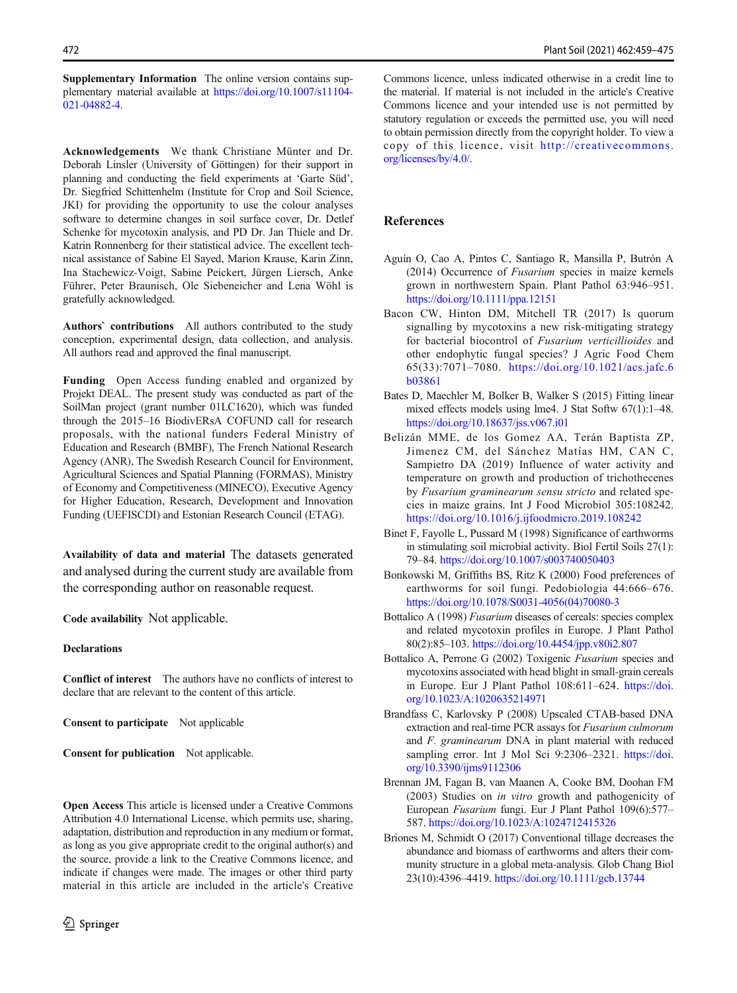<span id="page-13-0"></span>Supplementary Information The online version contains supplementary material available at [https://doi.org/10.1007/s11104-](https://doi.org/10.1007/s11104-021-04882-4) [021-04882-4](https://doi.org/10.1007/s11104-021-04882-4).

Acknowledgements We thank Christiane Münter and Dr. Deborah Linsler (University of Göttingen) for their support in planning and conducting the field experiments at 'Garte Süd', Dr. Siegfried Schittenhelm (Institute for Crop and Soil Science, JKI) for providing the opportunity to use the colour analyses software to determine changes in soil surface cover, Dr. Detlef Schenke for mycotoxin analysis, and PD Dr. Jan Thiele and Dr. Katrin Ronnenberg for their statistical advice. The excellent technical assistance of Sabine El Sayed, Marion Krause, Karin Zinn, Ina Stachewicz-Voigt, Sabine Peickert, Jürgen Liersch, Anke Führer, Peter Braunisch, Ole Siebeneicher and Lena Wöhl is gratefully acknowledged.

Authors` contributions All authors contributed to the study conception, experimental design, data collection, and analysis. All authors read and approved the final manuscript.

Funding Open Access funding enabled and organized by Projekt DEAL. The present study was conducted as part of the SoilMan project (grant number 01LC1620), which was funded through the 2015–16 BiodivERsA COFUND call for research proposals, with the national funders Federal Ministry of Education and Research (BMBF), The French National Research Agency (ANR), The Swedish Research Council for Environment, Agricultural Sciences and Spatial Planning (FORMAS), Ministry of Economy and Competitiveness (MINECO), Executive Agency for Higher Education, Research, Development and Innovation Funding (UEFISCDI) and Estonian Research Council (ETAG).

Availability of data and material The datasets generated and analysed during the current study are available from the corresponding author on reasonable request.

Code availability Not applicable.

### Declarations

Conflict of interest The authors have no conflicts of interest to declare that are relevant to the content of this article.

Consent to participate Not applicable

Consent for publication Not applicable.

Open Access This article is licensed under a Creative Commons Attribution 4.0 International License, which permits use, sharing, adaptation, distribution and reproduction in any medium or format, as long as you give appropriate credit to the original author(s) and the source, provide a link to the Creative Commons licence, and indicate if changes were made. The images or other third party material in this article are included in the article's Creative Commons licence, unless indicated otherwise in a credit line to the material. If material is not included in the article's Creative Commons licence and your intended use is not permitted by statutory regulation or exceeds the permitted use, you will need to obtain permission directly from the copyright holder. To view a copy of this licence, visit [http://creativecommons.](https://doi.org/) [org/licenses/by/4.0/.](https://doi.org/)

#### References

- Aguín O, Cao A, Pintos C, Santiago R, Mansilla P, Butrón A (2014) Occurrence of Fusarium species in maize kernels grown in northwestern Spain. Plant Pathol 63:946–951. <https://doi.org/10.1111/ppa.12151>
- Bacon CW, Hinton DM, Mitchell TR (2017) Is quorum signalling by mycotoxins a new risk-mitigating strategy for bacterial biocontrol of Fusarium verticillioides and other endophytic fungal species? J Agric Food Chem 65(33):7071–7080. [https://doi.org/10.1021/acs.jafc.6](https://doi.org/10.1021/acs.jafc.6b03861) [b03861](https://doi.org/10.1021/acs.jafc.6b03861)
- Bates D, Maechler M, Bolker B, Walker S (2015) Fitting linear mixed effects models using lme4. J Stat Softw 67(1):1–48. <https://doi.org/10.18637/jss.v067.i01>
- Belizán MME, de los Gomez AA, Terán Baptista ZP, Jimenez CM, del Sánchez Matías HM, CAN C, Sampietro DA (2019) Influence of water activity and temperature on growth and production of trichothecenes by Fusarium graminearum sensu stricto and related species in maize grains. Int J Food Microbiol 305:108242. <https://doi.org/10.1016/j.ijfoodmicro.2019.108242>
- Binet F, Fayolle L, Pussard M (1998) Significance of earthworms in stimulating soil microbial activity. Biol Fertil Soils 27(1): 79–84. <https://doi.org/10.1007/s003740050403>
- Bonkowski M, Griffiths BS, Ritz K (2000) Food preferences of earthworms for soil fungi. Pedobiologia 44:666–676. [https://doi.org/10.1078/S0031-4056\(04\)70080-3](https://doi.org/10.1078/S0031-4056(04)70080-3)
- Bottalico A (1998) Fusarium diseases of cereals: species complex and related mycotoxin profiles in Europe. J Plant Pathol 80(2):85–103. <https://doi.org/10.4454/jpp.v80i2.807>
- Bottalico A, Perrone G (2002) Toxigenic Fusarium species and mycotoxins associated with head blight in small-grain cereals in Europe. Eur J Plant Pathol 108:611–624. [https://doi.](https://doi.org/10.1023/A:1020635214971) [org/10.1023/A:1020635214971](https://doi.org/10.1023/A:1020635214971)
- Brandfass C, Karlovsky P (2008) Upscaled CTAB-based DNA extraction and real-time PCR assays for Fusarium culmorum and F. graminearum DNA in plant material with reduced sampling error. Int J Mol Sci 9:2306–2321. [https://doi.](https://doi.org/10.3390/ijms9112306) [org/10.3390/ijms9112306](https://doi.org/10.3390/ijms9112306)
- Brennan JM, Fagan B, van Maanen A, Cooke BM, Doohan FM (2003) Studies on in vitro growth and pathogenicity of European Fusarium fungi. Eur J Plant Pathol 109(6):577– 587. <https://doi.org/10.1023/A:1024712415326>
- Briones M, Schmidt O (2017) Conventional tillage decreases the abundance and biomass of earthworms and alters their community structure in a global meta-analysis. Glob Chang Biol 23(10):4396–4419. <https://doi.org/10.1111/gcb.13744>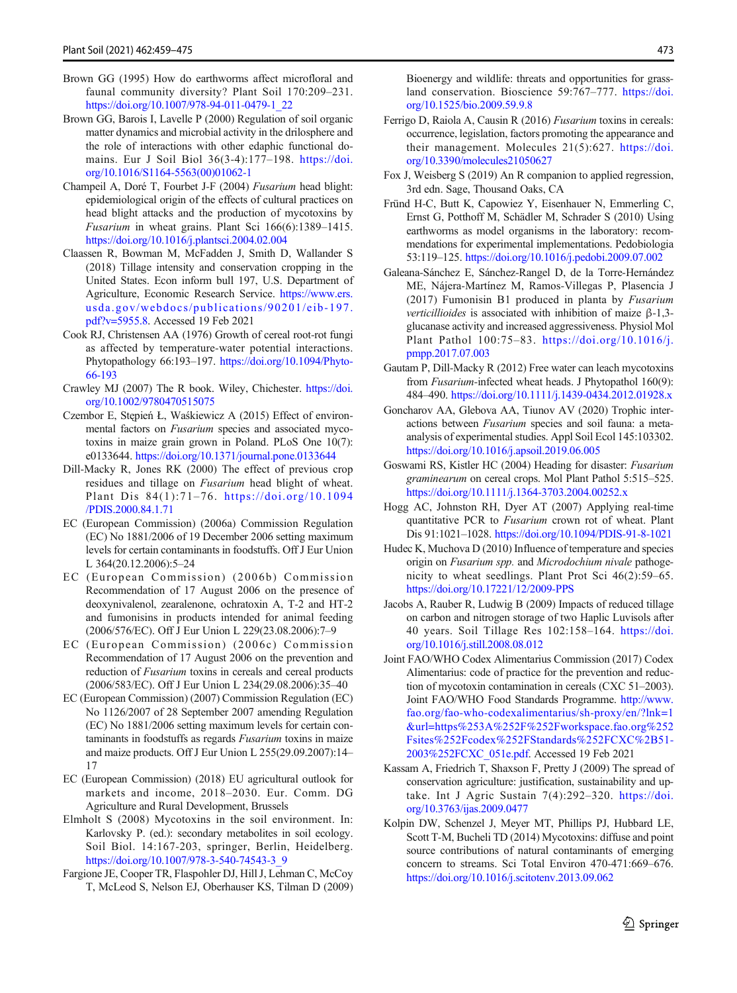- <span id="page-14-0"></span>Brown GG (1995) How do earthworms affect microfloral and faunal community diversity? Plant Soil 170:209–231. [https://doi.org/10.1007/978-94-011-0479-1\\_22](https://doi.org/10.1007/978-94-011-0479-1_22)
- Brown GG, Barois I, Lavelle P (2000) Regulation of soil organic matter dynamics and microbial activity in the drilosphere and the role of interactions with other edaphic functional domains. Eur J Soil Biol 36(3-4):177–198. [https://doi.](https://doi.org/10.1016/S1164-5563(00)01062-1) [org/10.1016/S1164-5563\(00\)01062-1](https://doi.org/10.1016/S1164-5563(00)01062-1)
- Champeil A, Doré T, Fourbet J-F (2004) Fusarium head blight: epidemiological origin of the effects of cultural practices on head blight attacks and the production of mycotoxins by Fusarium in wheat grains. Plant Sci 166(6):1389–1415. <https://doi.org/10.1016/j.plantsci.2004.02.004>
- Claassen R, Bowman M, McFadden J, Smith D, Wallander S (2018) Tillage intensity and conservation cropping in the United States. Econ inform bull 197, U.S. Department of Agriculture, Economic Research Service. [https://www.ers.](https://www.ers.usda.gov/webdocs/publications/90201/eib--197.pdf?v==5955.8) [usda.gov/webdocs/publications/90201/eib-197.](https://www.ers.usda.gov/webdocs/publications/90201/eib--197.pdf?v==5955.8) [pdf?v=5955.8.](https://www.ers.usda.gov/webdocs/publications/90201/eib--197.pdf?v==5955.8) Accessed 19 Feb 2021
- Cook RJ, Christensen AA (1976) Growth of cereal root-rot fungi as affected by temperature-water potential interactions. Phytopathology 66:193–197. [https://doi.org/10.1094/Phyto-](https://doi.org/10.1094/Phyto-66-193)[66-193](https://doi.org/10.1094/Phyto-66-193)
- Crawley MJ (2007) The R book. Wiley, Chichester. [https://doi.](https://doi.org/10.1002/9780470515075) [org/10.1002/9780470515075](https://doi.org/10.1002/9780470515075)
- Czembor E, Stępień Ł, Waśkiewicz A (2015) Effect of environmental factors on Fusarium species and associated mycotoxins in maize grain grown in Poland. PLoS One 10(7): e0133644. <https://doi.org/10.1371/journal.pone.0133644>
- Dill-Macky R, Jones RK (2000) The effect of previous crop residues and tillage on Fusarium head blight of wheat. Plant Dis 84(1):71–76. [https://doi.org/10.1094](https://doi.org/10.1094/PDIS.2000.84.1.71) [/PDIS.2000.84.1.71](https://doi.org/10.1094/PDIS.2000.84.1.71)
- EC (European Commission) (2006a) Commission Regulation (EC) No 1881/2006 of 19 December 2006 setting maximum levels for certain contaminants in foodstuffs. Off J Eur Union L 364(20.12.2006):5–24
- EC (European Commission) (2006b) Commission Recommendation of 17 August 2006 on the presence of deoxynivalenol, zearalenone, ochratoxin A, T-2 and HT-2 and fumonisins in products intended for animal feeding (2006/576/EC). Off J Eur Union L 229(23.08.2006):7–9
- EC (European Commission) (2006c) Commission Recommendation of 17 August 2006 on the prevention and reduction of Fusarium toxins in cereals and cereal products (2006/583/EC). Off J Eur Union L 234(29.08.2006):35–40
- EC (European Commission) (2007) Commission Regulation (EC) No 1126/2007 of 28 September 2007 amending Regulation (EC) No 1881/2006 setting maximum levels for certain contaminants in foodstuffs as regards Fusarium toxins in maize and maize products. Off J Eur Union L 255(29.09.2007):14– 17
- EC (European Commission) (2018) EU agricultural outlook for markets and income, 2018–2030. Eur. Comm. DG Agriculture and Rural Development, Brussels
- Elmholt S (2008) Mycotoxins in the soil environment. In: Karlovsky P. (ed.): secondary metabolites in soil ecology. Soil Biol. 14:167-203, springer, Berlin, Heidelberg. [https://doi.org/10.1007/978-3-540-74543-3\\_9](https://doi.org/10.1007/978-3-540-74543-3_9)
- Fargione JE, Cooper TR, Flaspohler DJ, Hill J, Lehman C, McCoy T, McLeod S, Nelson EJ, Oberhauser KS, Tilman D (2009)

Bioenergy and wildlife: threats and opportunities for grassland conservation. Bioscience 59:767–777. [https://doi.](https://doi.org/10.1525/bio.2009.59.9.8) [org/10.1525/bio.2009.59.9.8](https://doi.org/10.1525/bio.2009.59.9.8)

- Ferrigo D, Raiola A, Causin R (2016) Fusarium toxins in cereals: occurrence, legislation, factors promoting the appearance and their management. Molecules 21(5):627. [https://doi.](https://doi.org/10.3390/molecules21050627) [org/10.3390/molecules21050627](https://doi.org/10.3390/molecules21050627)
- Fox J, Weisberg S (2019) An R companion to applied regression, 3rd edn. Sage, Thousand Oaks, CA
- Fründ H-C, Butt K, Capowiez Y, Eisenhauer N, Emmerling C, Ernst G, Potthoff M, Schädler M, Schrader S (2010) Using earthworms as model organisms in the laboratory: recommendations for experimental implementations. Pedobiologia 53:119–125. <https://doi.org/10.1016/j.pedobi.2009.07.002>
- Galeana-Sánchez E, Sánchez-Rangel D, de la Torre-Hernández ME, Nájera-Martínez M, Ramos-Villegas P, Plasencia J (2017) Fumonisin B1 produced in planta by Fusarium verticillioides is associated with inhibition of maize β-1,3 glucanase activity and increased aggressiveness. Physiol Mol Plant Pathol 100:75–83. [https://doi.org/10.1016/j.](https://doi.org/10.1016/j.pmpp.2017.07.003) [pmpp.2017.07.003](https://doi.org/10.1016/j.pmpp.2017.07.003)
- Gautam P, Dill-Macky R (2012) Free water can leach mycotoxins from Fusarium-infected wheat heads. J Phytopathol 160(9): 484–490. <https://doi.org/10.1111/j.1439-0434.2012.01928.x>
- Goncharov AA, Glebova AA, Tiunov AV (2020) Trophic interactions between Fusarium species and soil fauna: a metaanalysis of experimental studies. Appl Soil Ecol 145:103302. <https://doi.org/10.1016/j.apsoil.2019.06.005>
- Goswami RS, Kistler HC (2004) Heading for disaster: Fusarium graminearum on cereal crops. Mol Plant Pathol 5:515–525. <https://doi.org/10.1111/j.1364-3703.2004.00252.x>
- Hogg AC, Johnston RH, Dyer AT (2007) Applying real-time quantitative PCR to Fusarium crown rot of wheat. Plant Dis 91:1021–1028. <https://doi.org/10.1094/PDIS-91-8-1021>
- Hudec K, Muchova D (2010) Influence of temperature and species origin on Fusarium spp. and Microdochium nivale pathogenicity to wheat seedlings. Plant Prot Sci 46(2):59–65. <https://doi.org/10.17221/12/2009-PPS>
- Jacobs A, Rauber R, Ludwig B (2009) Impacts of reduced tillage on carbon and nitrogen storage of two Haplic Luvisols after 40 years. Soil Tillage Res 102:158–164. [https://doi.](https://doi.org/10.1016/j.still.2008.08.012) [org/10.1016/j.still.2008.08.012](https://doi.org/10.1016/j.still.2008.08.012)
- Joint FAO/WHO Codex Alimentarius Commission (2017) Codex Alimentarius: code of practice for the prevention and reduction of mycotoxin contamination in cereals (CXC 51–2003). Joint FAO/WHO Food Standards Programme. [http://www.](http://www.fao.org/fao--who--codexalimentarius/sh--proxy/en/?lnk==1&url==https%253A%252F%252Fworkspace.fao.org%252Fsites%252Fcodex%252FStandards%252FCXC%2B51--2003%252FCXC_051e.pdf) [fao.org/fao-who-codexalimentarius/sh-proxy/en/?lnk=1](http://www.fao.org/fao--who--codexalimentarius/sh--proxy/en/?lnk==1&url==https%253A%252F%252Fworkspace.fao.org%252Fsites%252Fcodex%252FStandards%252FCXC%2B51--2003%252FCXC_051e.pdf) [&url=https%253A%252F%252Fworkspace.fao.org%252](http://www.fao.org/fao--who--codexalimentarius/sh--proxy/en/?lnk==1&url==https%253A%252F%252Fworkspace.fao.org%252Fsites%252Fcodex%252FStandards%252FCXC%2B51--2003%252FCXC_051e.pdf) [Fsites%252Fcodex%252FStandards%252FCXC%2B51-](http://www.fao.org/fao--who--codexalimentarius/sh--proxy/en/?lnk==1&url==https%253A%252F%252Fworkspace.fao.org%252Fsites%252Fcodex%252FStandards%252FCXC%2B51--2003%252FCXC_051e.pdf) [2003%252FCXC\\_051e.pdf](http://www.fao.org/fao--who--codexalimentarius/sh--proxy/en/?lnk==1&url==https%253A%252F%252Fworkspace.fao.org%252Fsites%252Fcodex%252FStandards%252FCXC%2B51--2003%252FCXC_051e.pdf). Accessed 19 Feb 2021
- Kassam A, Friedrich T, Shaxson F, Pretty J (2009) The spread of conservation agriculture: justification, sustainability and uptake. Int J Agric Sustain 7(4):292–320. [https://doi.](https://doi.org/10.3763/ijas.2009.0477) [org/10.3763/ijas.2009.0477](https://doi.org/10.3763/ijas.2009.0477)
- Kolpin DW, Schenzel J, Meyer MT, Phillips PJ, Hubbard LE, Scott T-M, Bucheli TD (2014) Mycotoxins: diffuse and point source contributions of natural contaminants of emerging concern to streams. Sci Total Environ 470-471:669–676. <https://doi.org/10.1016/j.scitotenv.2013.09.062>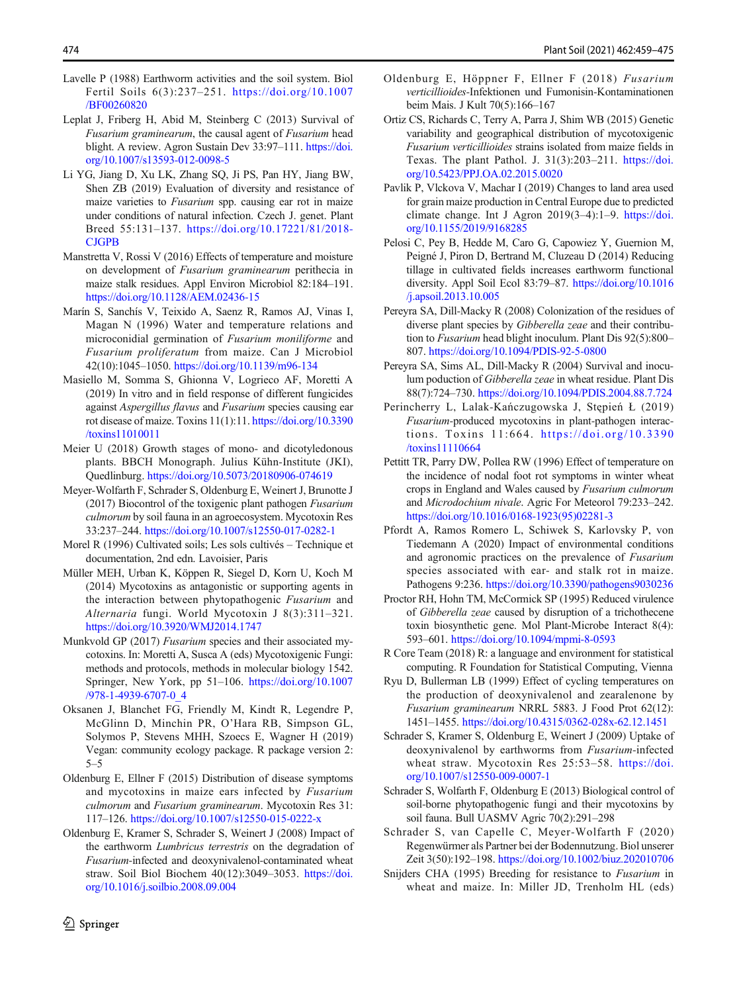- <span id="page-15-0"></span>Lavelle P (1988) Earthworm activities and the soil system. Biol Fertil Soils 6(3):237–251. [https://doi.org/10.1007](https://doi.org/10.1007/BF00260820) [/BF00260820](https://doi.org/10.1007/BF00260820)
- Leplat J, Friberg H, Abid M, Steinberg C (2013) Survival of Fusarium graminearum, the causal agent of Fusarium head blight. A review. Agron Sustain Dev 33:97–111. [https://doi.](https://doi.org/10.1007/s13593-012-0098-5) [org/10.1007/s13593-012-0098-5](https://doi.org/10.1007/s13593-012-0098-5)
- Li YG, Jiang D, Xu LK, Zhang SQ, Ji PS, Pan HY, Jiang BW, Shen ZB (2019) Evaluation of diversity and resistance of maize varieties to Fusarium spp. causing ear rot in maize under conditions of natural infection. Czech J. genet. Plant Breed 55:131–137. [https://doi.org/10.17221/81/2018-](https://doi.org/10.17221/81/2018-CJGPB) [CJGPB](https://doi.org/10.17221/81/2018-CJGPB)
- Manstretta V, Rossi V (2016) Effects of temperature and moisture on development of Fusarium graminearum perithecia in maize stalk residues. Appl Environ Microbiol 82:184–191. <https://doi.org/10.1128/AEM.02436-15>
- Marín S, Sanchís V, Teixido A, Saenz R, Ramos AJ, Vinas I, Magan N (1996) Water and temperature relations and microconidial germination of Fusarium moniliforme and Fusarium proliferatum from maize. Can J Microbiol 42(10):1045–1050. <https://doi.org/10.1139/m96-134>
- Masiello M, Somma S, Ghionna V, Logrieco AF, Moretti A (2019) In vitro and in field response of different fungicides against Aspergillus flavus and Fusarium species causing ear rot disease of maize. Toxins 11(1):11. [https://doi.org/10.3390](https://doi.org/10.3390/toxins11010011) [/toxins11010011](https://doi.org/10.3390/toxins11010011)
- Meier U (2018) Growth stages of mono- and dicotyledonous plants. BBCH Monograph. Julius Kühn-Institute (JKI), Quedlinburg. <https://doi.org/10.5073/20180906-074619>
- Meyer-Wolfarth F, Schrader S, Oldenburg E, Weinert J, Brunotte J (2017) Biocontrol of the toxigenic plant pathogen Fusarium culmorum by soil fauna in an agroecosystem. Mycotoxin Res 33:237–244. <https://doi.org/10.1007/s12550-017-0282-1>
- Morel R (1996) Cultivated soils; Les sols cultivés Technique et documentation, 2nd edn. Lavoisier, Paris
- Müller MEH, Urban K, Köppen R, Siegel D, Korn U, Koch M (2014) Mycotoxins as antagonistic or supporting agents in the interaction between phytopathogenic Fusarium and Alternaria fungi. World Mycotoxin J 8(3):311–321. <https://doi.org/10.3920/WMJ2014.1747>
- Munkvold GP (2017) Fusarium species and their associated mycotoxins. In: Moretti A, Susca A (eds) Mycotoxigenic Fungi: methods and protocols, methods in molecular biology 1542. Springer, New York, pp 51–106. [https://doi.org/10.1007](https://doi.org/10.1007/978-1-4939-6707-0_4) [/978-1-4939-6707-0\\_4](https://doi.org/10.1007/978-1-4939-6707-0_4)
- Oksanen J, Blanchet FG, Friendly M, Kindt R, Legendre P, McGlinn D, Minchin PR, O'Hara RB, Simpson GL, Solymos P, Stevens MHH, Szoecs E, Wagner H (2019) Vegan: community ecology package. R package version 2: 5–5
- Oldenburg E, Ellner F (2015) Distribution of disease symptoms and mycotoxins in maize ears infected by Fusarium culmorum and Fusarium graminearum. Mycotoxin Res 31: 117–126. <https://doi.org/10.1007/s12550-015-0222-x>
- Oldenburg E, Kramer S, Schrader S, Weinert J (2008) Impact of the earthworm Lumbricus terrestris on the degradation of Fusarium-infected and deoxynivalenol-contaminated wheat straw. Soil Biol Biochem 40(12):3049–3053. [https://doi.](https://doi.org/10.1016/j.soilbio.2008.09.004) [org/10.1016/j.soilbio.2008.09.004](https://doi.org/10.1016/j.soilbio.2008.09.004)
- Oldenburg E, Höppner F, Ellner F (2018) Fusarium verticillioides-Infektionen und Fumonisin-Kontaminationen beim Mais. J Kult 70(5):166–167
- Ortiz CS, Richards C, Terry A, Parra J, Shim WB (2015) Genetic variability and geographical distribution of mycotoxigenic Fusarium verticillioides strains isolated from maize fields in Texas. The plant Pathol. J. 31(3):203–211. [https://doi.](https://doi.org/10.5423/PPJ.OA.02.2015.0020) [org/10.5423/PPJ.OA.02.2015.0020](https://doi.org/10.5423/PPJ.OA.02.2015.0020)
- Pavlik P, Vlckova V, Machar I (2019) Changes to land area used for grain maize production in Central Europe due to predicted climate change. Int J Agron 2019(3–4):1–9. [https://doi.](https://doi.org/10.1155/2019/9168285) [org/10.1155/2019/9168285](https://doi.org/10.1155/2019/9168285)
- Pelosi C, Pey B, Hedde M, Caro G, Capowiez Y, Guernion M, Peigné J, Piron D, Bertrand M, Cluzeau D (2014) Reducing tillage in cultivated fields increases earthworm functional diversity. Appl Soil Ecol 83:79–87. [https://doi.org/10.1016](https://doi.org/10.1016/j.apsoil.2013.10.005) [/j.apsoil.2013.10.005](https://doi.org/10.1016/j.apsoil.2013.10.005)
- Pereyra SA, Dill-Macky R (2008) Colonization of the residues of diverse plant species by Gibberella zeae and their contribution to Fusarium head blight inoculum. Plant Dis 92(5):800-807. <https://doi.org/10.1094/PDIS-92-5-0800>
- Pereyra SA, Sims AL, Dill-Macky R (2004) Survival and inoculum poduction of Gibberella zeae in wheat residue. Plant Dis 88(7):724–730. <https://doi.org/10.1094/PDIS.2004.88.7.724>
- Perincherry L, Lalak-Kańczugowska J, Stępień Ł (2019) Fusarium-produced mycotoxins in plant-pathogen interactions. Toxins 11:664. [https://doi.org/10.3390](https://doi.org/10.3390/toxins11110664) [/toxins11110664](https://doi.org/10.3390/toxins11110664)
- Pettitt TR, Parry DW, Pollea RW (1996) Effect of temperature on the incidence of nodal foot rot symptoms in winter wheat crops in England and Wales caused by Fusarium culmorum and Microdochium nivale. Agric For Meteorol 79:233–242. [https://doi.org/10.1016/0168-1923\(95\)02281-3](https://doi.org/10.1016/0168-1923(95)02281-3)
- Pfordt A, Ramos Romero L, Schiwek S, Karlovsky P, von Tiedemann A (2020) Impact of environmental conditions and agronomic practices on the prevalence of Fusarium species associated with ear- and stalk rot in maize. Pathogens 9:236. <https://doi.org/10.3390/pathogens9030236>
- Proctor RH, Hohn TM, McCormick SP (1995) Reduced virulence of Gibberella zeae caused by disruption of a trichothecene toxin biosynthetic gene. Mol Plant-Microbe Interact 8(4): 593–601. <https://doi.org/10.1094/mpmi-8-0593>
- R Core Team (2018) R: a language and environment for statistical computing. R Foundation for Statistical Computing, Vienna
- Ryu D, Bullerman LB (1999) Effect of cycling temperatures on the production of deoxynivalenol and zearalenone by Fusarium graminearum NRRL 5883. J Food Prot 62(12): 1451–1455. <https://doi.org/10.4315/0362-028x-62.12.1451>
- Schrader S, Kramer S, Oldenburg E, Weinert J (2009) Uptake of deoxynivalenol by earthworms from Fusarium-infected wheat straw. Mycotoxin Res 25:53–58. [https://doi.](https://doi.org/10.1007/s12550-009-0007-1) [org/10.1007/s12550-009-0007-1](https://doi.org/10.1007/s12550-009-0007-1)
- Schrader S, Wolfarth F, Oldenburg E (2013) Biological control of soil-borne phytopathogenic fungi and their mycotoxins by soil fauna. Bull UASMV Agric 70(2):291–298
- Schrader S, van Capelle C, Meyer-Wolfarth F (2020) Regenwürmer als Partner bei der Bodennutzung. Biol unserer Zeit 3(50):192–198. <https://doi.org/10.1002/biuz.202010706>
- Snijders CHA (1995) Breeding for resistance to Fusarium in wheat and maize. In: Miller JD, Trenholm HL (eds)